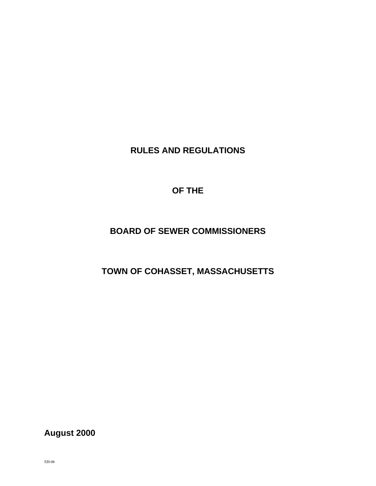**RULES AND REGULATIONS** 

**OF THE** 

# **BOARD OF SEWER COMMISSIONERS**

# **TOWN OF COHASSET, MASSACHUSETTS**

**August 2000**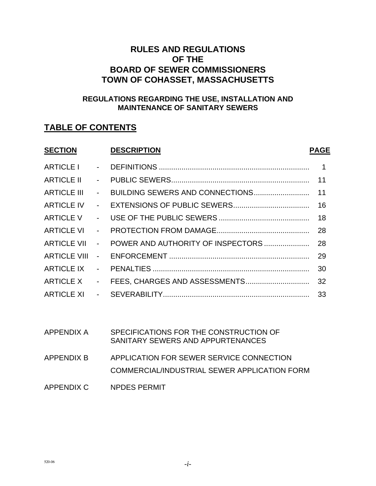# **RULES AND REGULATIONS OF THE BOARD OF SEWER COMMISSIONERS TOWN OF COHASSET, MASSACHUSETTS**

# **REGULATIONS REGARDING THE USE, INSTALLATION AND MAINTENANCE OF SANITARY SEWERS**

# **TABLE OF CONTENTS**

| <b>SECTION</b>      |                           | <b>DESCRIPTION</b>                | <b>PAGE</b>    |
|---------------------|---------------------------|-----------------------------------|----------------|
| ARTICLE I           | $\sim 100$                |                                   | $\overline{1}$ |
| <b>ARTICLE II</b>   | $\sim$                    |                                   | 11             |
| <b>ARTICLE III</b>  | $\sim$                    |                                   |                |
| <b>ARTICLE IV</b>   | $\sim$                    |                                   | 16             |
| ARTICLE V           | $\sim$                    |                                   | 18             |
| ARTICLE VI          | $\sim$                    |                                   | 28             |
| <b>ARTICLE VII</b>  | $\sim$                    | POWER AND AUTHORITY OF INSPECTORS | 28             |
| <b>ARTICLE VIII</b> | $\sim 100$                |                                   | 29             |
| <b>ARTICLE IX</b>   | $\mathbf{L}^{\text{max}}$ |                                   | 30             |
| ARTICLE X           | $\sim$                    |                                   |                |
| ARTICLE XI -        |                           |                                   |                |
|                     |                           |                                   |                |
|                     |                           |                                   |                |

| APPENDIX A | SPECIFICATIONS FOR THE CONSTRUCTION OF<br>SANITARY SEWERS AND APPURTENANCES              |
|------------|------------------------------------------------------------------------------------------|
| APPENDIX B | APPLICATION FOR SEWER SERVICE CONNECTION<br>COMMERCIAL/INDUSTRIAL SEWER APPLICATION FORM |
| APPENDIX C | <b>NPDES PERMIT</b>                                                                      |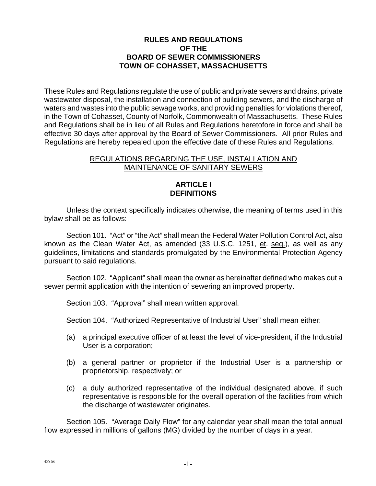#### **RULES AND REGULATIONS OF THE BOARD OF SEWER COMMISSIONERS TOWN OF COHASSET, MASSACHUSETTS**

These Rules and Regulations regulate the use of public and private sewers and drains, private wastewater disposal, the installation and connection of building sewers, and the discharge of waters and wastes into the public sewage works, and providing penalties for violations thereof, in the Town of Cohasset, County of Norfolk, Commonwealth of Massachusetts. These Rules and Regulations shall be in lieu of all Rules and Regulations heretofore in force and shall be effective 30 days after approval by the Board of Sewer Commissioners. All prior Rules and Regulations are hereby repealed upon the effective date of these Rules and Regulations.

#### REGULATIONS REGARDING THE USE, INSTALLATION AND MAINTENANCE OF SANITARY SEWERS

#### **ARTICLE I DEFINITIONS**

Unless the context specifically indicates otherwise, the meaning of terms used in this bylaw shall be as follows:

Section 101. "Act" or "the Act" shall mean the Federal Water Pollution Control Act, also known as the Clean Water Act, as amended (33 U.S.C. 1251, et. seq.), as well as any guidelines, limitations and standards promulgated by the Environmental Protection Agency pursuant to said regulations.

Section 102. "Applicant" shall mean the owner as hereinafter defined who makes out a sewer permit application with the intention of sewering an improved property.

Section 103. "Approval" shall mean written approval.

Section 104. "Authorized Representative of Industrial User" shall mean either:

- (a) a principal executive officer of at least the level of vice-president, if the Industrial User is a corporation;
- (b) a general partner or proprietor if the Industrial User is a partnership or proprietorship, respectively; or
- (c) a duly authorized representative of the individual designated above, if such representative is responsible for the overall operation of the facilities from which the discharge of wastewater originates.

Section 105. "Average Daily Flow" for any calendar year shall mean the total annual flow expressed in millions of gallons (MG) divided by the number of days in a year.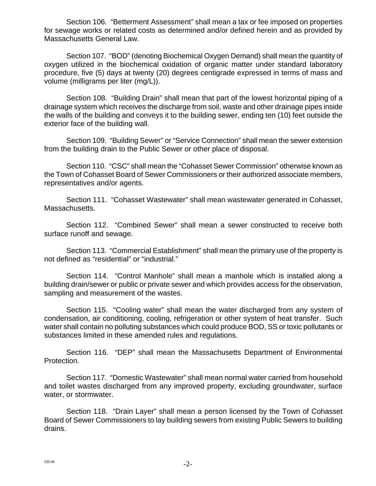Section 106. "Betterment Assessment" shall mean a tax or fee imposed on properties for sewage works or related costs as determined and/or defined herein and as provided by Massachusetts General Law.

Section 107. "BOD" (denoting Biochemical Oxygen Demand) shall mean the quantity of oxygen utilized in the biochemical oxidation of organic matter under standard laboratory procedure, five (5) days at twenty (20) degrees centigrade expressed in terms of mass and volume (milligrams per liter (mg/L)).

Section 108. "Building Drain" shall mean that part of the lowest horizontal piping of a drainage system which receives the discharge from soil, waste and other drainage pipes inside the walls of the building and conveys it to the building sewer, ending ten (10) feet outside the exterior face of the building wall.

Section 109. "Building Sewer" or "Service Connection" shall mean the sewer extension from the building drain to the Public Sewer or other place of disposal.

Section 110. "CSC" shall mean the "Cohasset Sewer Commission" otherwise known as the Town of Cohasset Board of Sewer Commissioners or their authorized associate members, representatives and/or agents.

Section 111. "Cohasset Wastewater" shall mean wastewater generated in Cohasset, Massachusetts.

Section 112. "Combined Sewer" shall mean a sewer constructed to receive both surface runoff and sewage.

Section 113. "Commercial Establishment" shall mean the primary use of the property is not defined as "residential" or "industrial."

Section 114. "Control Manhole" shall mean a manhole which is installed along a building drain/sewer or public or private sewer and which provides access for the observation, sampling and measurement of the wastes.

Section 115. "Cooling water" shall mean the water discharged from any system of condensation, air conditioning, cooling, refrigeration or other system of heat transfer. Such water shall contain no polluting substances which could produce BOD, SS or toxic pollutants or substances limited in these amended rules and regulations.

Section 116. "DEP" shall mean the Massachusetts Department of Environmental Protection.

Section 117. "Domestic Wastewater" shall mean normal water carried from household and toilet wastes discharged from any improved property, excluding groundwater, surface water, or stormwater.

Section 118. "Drain Layer" shall mean a person licensed by the Town of Cohasset Board of Sewer Commissioners to lay building sewers from existing Public Sewers to building drains.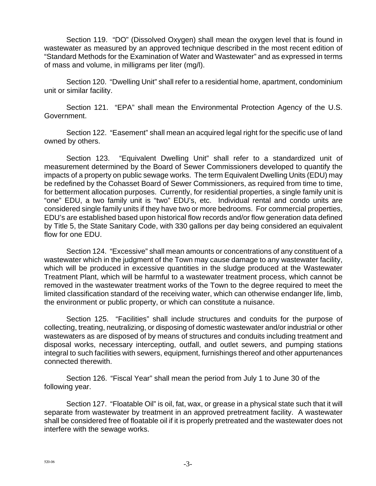Section 119. "DO" (Dissolved Oxygen) shall mean the oxygen level that is found in wastewater as measured by an approved technique described in the most recent edition of "Standard Methods for the Examination of Water and Wastewater" and as expressed in terms of mass and volume, in milligrams per liter (mg/l).

Section 120. "Dwelling Unit" shall refer to a residential home, apartment, condominium unit or similar facility.

Section 121. "EPA" shall mean the Environmental Protection Agency of the U.S. Government.

Section 122. "Easement" shall mean an acquired legal right for the specific use of land owned by others.

Section 123. "Equivalent Dwelling Unit" shall refer to a standardized unit of measurement determined by the Board of Sewer Commissioners developed to quantify the impacts of a property on public sewage works. The term Equivalent Dwelling Units (EDU) may be redefined by the Cohasset Board of Sewer Commissioners, as required from time to time, for betterment allocation purposes. Currently, for residential properties, a single family unit is "one" EDU, a two family unit is "two" EDU's, etc. Individual rental and condo units are considered single family units if they have two or more bedrooms. For commercial properties, EDU's are established based upon historical flow records and/or flow generation data defined by Title 5, the State Sanitary Code, with 330 gallons per day being considered an equivalent flow for one EDU.

Section 124. "Excessive" shall mean amounts or concentrations of any constituent of a wastewater which in the judgment of the Town may cause damage to any wastewater facility, which will be produced in excessive quantities in the sludge produced at the Wastewater Treatment Plant, which will be harmful to a wastewater treatment process, which cannot be removed in the wastewater treatment works of the Town to the degree required to meet the limited classification standard of the receiving water, which can otherwise endanger life, limb, the environment or public property, or which can constitute a nuisance.

Section 125. "Facilities" shall include structures and conduits for the purpose of collecting, treating, neutralizing, or disposing of domestic wastewater and/or industrial or other wastewaters as are disposed of by means of structures and conduits including treatment and disposal works, necessary intercepting, outfall, and outlet sewers, and pumping stations integral to such facilities with sewers, equipment, furnishings thereof and other appurtenances connected therewith.

Section 126. "Fiscal Year" shall mean the period from July 1 to June 30 of the following year.

Section 127. "Floatable Oil" is oil, fat, wax, or grease in a physical state such that it will separate from wastewater by treatment in an approved pretreatment facility. A wastewater shall be considered free of floatable oil if it is properly pretreated and the wastewater does not interfere with the sewage works.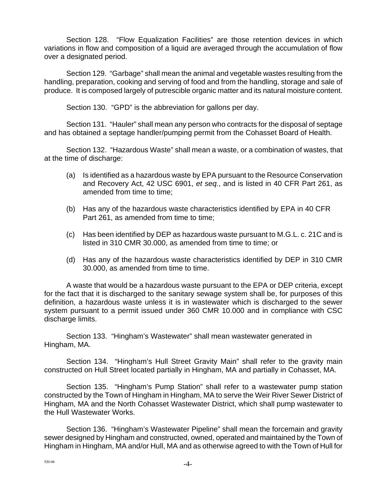Section 128. "Flow Equalization Facilities" are those retention devices in which variations in flow and composition of a liquid are averaged through the accumulation of flow over a designated period.

Section 129. "Garbage" shall mean the animal and vegetable wastes resulting from the handling, preparation, cooking and serving of food and from the handling, storage and sale of produce. It is composed largely of putrescible organic matter and its natural moisture content.

Section 130. "GPD" is the abbreviation for gallons per day.

Section 131. "Hauler" shall mean any person who contracts for the disposal of septage and has obtained a septage handler/pumping permit from the Cohasset Board of Health.

Section 132. "Hazardous Waste" shall mean a waste, or a combination of wastes, that at the time of discharge:

- (a) Is identified as a hazardous waste by EPA pursuant to the Resource Conservation and Recovery Act, 42 USC 6901, *et seq.*, and is listed in 40 CFR Part 261, as amended from time to time;
- (b) Has any of the hazardous waste characteristics identified by EPA in 40 CFR Part 261, as amended from time to time;
- (c) Has been identified by DEP as hazardous waste pursuant to M.G.L. c. 21C and is listed in 310 CMR 30.000, as amended from time to time; or
- (d) Has any of the hazardous waste characteristics identified by DEP in 310 CMR 30.000, as amended from time to time.

A waste that would be a hazardous waste pursuant to the EPA or DEP criteria, except for the fact that it is discharged to the sanitary sewage system shall be, for purposes of this definition, a hazardous waste unless it is in wastewater which is discharged to the sewer system pursuant to a permit issued under 360 CMR 10.000 and in compliance with CSC discharge limits.

Section 133. "Hingham's Wastewater" shall mean wastewater generated in Hingham, MA.

Section 134. "Hingham's Hull Street Gravity Main" shall refer to the gravity main constructed on Hull Street located partially in Hingham, MA and partially in Cohasset, MA.

Section 135. "Hingham's Pump Station" shall refer to a wastewater pump station constructed by the Town of Hingham in Hingham, MA to serve the Weir River Sewer District of Hingham, MA and the North Cohasset Wastewater District, which shall pump wastewater to the Hull Wastewater Works.

Section 136. "Hingham's Wastewater Pipeline" shall mean the forcemain and gravity sewer designed by Hingham and constructed, owned, operated and maintained by the Town of Hingham in Hingham, MA and/or Hull, MA and as otherwise agreed to with the Town of Hull for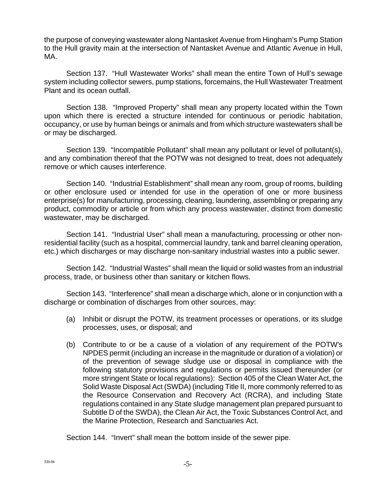the purpose of conveying wastewater along Nantasket Avenue from Hingham's Pump Station to the Hull gravity main at the intersection of Nantasket Avenue and Atlantic Avenue in Hull, MA.

Section 137. "Hull Wastewater Works" shall mean the entire Town of Hull's sewage system including collector sewers, pump stations, forcemains, the Hull Wastewater Treatment Plant and its ocean outfall.

Section 138. "Improved Property" shall mean any property located within the Town upon which there is erected a structure intended for continuous or periodic habitation, occupancy, or use by human beings or animals and from which structure wastewaters shall be or may be discharged.

Section 139. "Incompatible Pollutant" shall mean any pollutant or level of pollutant(s), and any combination thereof that the POTW was not designed to treat, does not adequately remove or which causes interference.

Section 140. "Industrial Establishment" shall mean any room, group of rooms, building or other enclosure used or intended for use in the operation of one or more business enterprise(s) for manufacturing, processing, cleaning, laundering, assembling or preparing any product, commodity or article or from which any process wastewater, distinct from domestic wastewater, may be discharged.

Section 141. "Industrial User" shall mean a manufacturing, processing or other nonresidential facility (such as a hospital, commercial laundry, tank and barrel cleaning operation, etc.) which discharges or may discharge non-sanitary industrial wastes into a public sewer.

Section 142. "Industrial Wastes" shall mean the liquid or solid wastes from an industrial process, trade, or business other than sanitary or kitchen flows.

Section 143. "Interference" shall mean a discharge which, alone or in conjunction with a discharge or combination of discharges from other sources, may:

- (a) Inhibit or disrupt the POTW, its treatment processes or operations, or its sludge processes, uses, or disposal; and
- (b) Contribute to or be a cause of a violation of any requirement of the POTW's NPDES permit (including an increase in the magnitude or duration of a violation) or of the prevention of sewage sludge use or disposal in compliance with the following statutory provisions and regulations or permits issued thereunder (or more stringent State or local regulations): Section 405 of the Clean Water Act, the Solid Waste Disposal Act (SWDA) (including Title II, more commonly referred to as the Resource Conservation and Recovery Act (RCRA), and including State regulations contained in any State sludge management plan prepared pursuant to Subtitle D of the SWDA), the Clean Air Act, the Toxic Substances Control Act, and the Marine Protection, Research and Sanctuaries Act.

Section 144. "Invert" shall mean the bottom inside of the sewer pipe.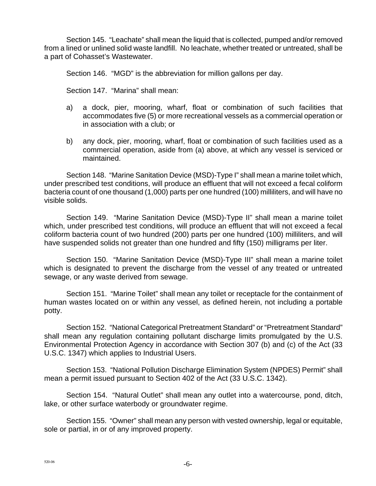Section 145. "Leachate" shall mean the liquid that is collected, pumped and/or removed from a lined or unlined solid waste landfill. No leachate, whether treated or untreated, shall be a part of Cohasset's Wastewater.

Section 146. "MGD" is the abbreviation for million gallons per day.

Section 147. "Marina" shall mean:

- a) a dock, pier, mooring, wharf, float or combination of such facilities that accommodates five (5) or more recreational vessels as a commercial operation or in association with a club; or
- b) any dock, pier, mooring, wharf, float or combination of such facilities used as a commercial operation, aside from (a) above, at which any vessel is serviced or maintained.

Section 148. "Marine Sanitation Device (MSD)-Type I" shall mean a marine toilet which, under prescribed test conditions, will produce an effluent that will not exceed a fecal coliform bacteria count of one thousand (1,000) parts per one hundred (100) milliliters, and will have no visible solids.

Section 149. "Marine Sanitation Device (MSD)-Type II" shall mean a marine toilet which, under prescribed test conditions, will produce an effluent that will not exceed a fecal coliform bacteria count of two hundred (200) parts per one hundred (100) milliliters, and will have suspended solids not greater than one hundred and fifty (150) milligrams per liter.

Section 150. "Marine Sanitation Device (MSD)-Type III" shall mean a marine toilet which is designated to prevent the discharge from the vessel of any treated or untreated sewage, or any waste derived from sewage.

Section 151. "Marine Toilet" shall mean any toilet or receptacle for the containment of human wastes located on or within any vessel, as defined herein, not including a portable potty.

Section 152. "National Categorical Pretreatment Standard" or "Pretreatment Standard" shall mean any regulation containing pollutant discharge limits promulgated by the U.S. Environmental Protection Agency in accordance with Section 307 (b) and (c) of the Act (33 U.S.C. 1347) which applies to Industrial Users.

Section 153. "National Pollution Discharge Elimination System (NPDES) Permit" shall mean a permit issued pursuant to Section 402 of the Act (33 U.S.C. 1342).

Section 154. "Natural Outlet" shall mean any outlet into a watercourse, pond, ditch, lake, or other surface waterbody or groundwater regime.

Section 155. "Owner" shall mean any person with vested ownership, legal or equitable, sole or partial, in or of any improved property.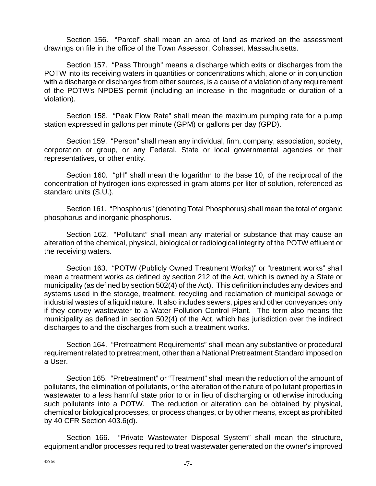Section 156. "Parcel" shall mean an area of land as marked on the assessment drawings on file in the office of the Town Assessor, Cohasset, Massachusetts.

Section 157. "Pass Through" means a discharge which exits or discharges from the POTW into its receiving waters in quantities or concentrations which, alone or in conjunction with a discharge or discharges from other sources, is a cause of a violation of any requirement of the POTW's NPDES permit (including an increase in the magnitude or duration of a violation).

Section 158. "Peak Flow Rate" shall mean the maximum pumping rate for a pump station expressed in gallons per minute (GPM) or gallons per day (GPD).

Section 159. "Person" shall mean any individual, firm, company, association, society, corporation or group, or any Federal, State or local governmental agencies or their representatives, or other entity.

Section 160. "pH" shall mean the logarithm to the base 10, of the reciprocal of the concentration of hydrogen ions expressed in gram atoms per liter of solution, referenced as standard units (S.U.).

Section 161. "Phosphorus" (denoting Total Phosphorus) shall mean the total of organic phosphorus and inorganic phosphorus.

Section 162. "Pollutant" shall mean any material or substance that may cause an alteration of the chemical, physical, biological or radiological integrity of the POTW effluent or the receiving waters.

Section 163. "POTW (Publicly Owned Treatment Works)" or "treatment works" shall mean a treatment works as defined by section 212 of the Act, which is owned by a State or municipality (as defined by section 502(4) of the Act). This definition includes any devices and systems used in the storage, treatment, recycling and reclamation of municipal sewage or industrial wastes of a liquid nature. It also includes sewers, pipes and other conveyances only if they convey wastewater to a Water Pollution Control Plant. The term also means the municipality as defined in section 502(4) of the Act, which has jurisdiction over the indirect discharges to and the discharges from such a treatment works.

Section 164. "Pretreatment Requirements" shall mean any substantive or procedural requirement related to pretreatment, other than a National Pretreatment Standard imposed on a User.

Section 165. "Pretreatment" or "Treatment" shall mean the reduction of the amount of pollutants, the elimination of pollutants, or the alteration of the nature of pollutant properties in wastewater to a less harmful state prior to or in lieu of discharging or otherwise introducing such pollutants into a POTW. The reduction or alteration can be obtained by physical, chemical or biological processes, or process changes, or by other means, except as prohibited by 40 CFR Section 403.6(d).

Section 166. "Private Wastewater Disposal System" shall mean the structure, equipment and**/or** processes required to treat wastewater generated on the owner's improved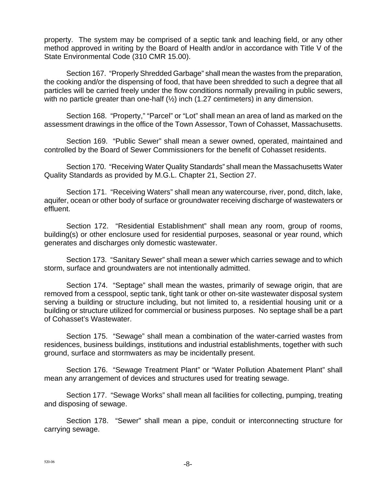property. The system may be comprised of a septic tank and leaching field, or any other method approved in writing by the Board of Health and/or in accordance with Title V of the State Environmental Code (310 CMR 15.00).

Section 167. "Properly Shredded Garbage" shall mean the wastes from the preparation, the cooking and/or the dispensing of food, that have been shredded to such a degree that all particles will be carried freely under the flow conditions normally prevailing in public sewers, with no particle greater than one-half  $(\frac{1}{2})$  inch (1.27 centimeters) in any dimension.

Section 168. "Property," "Parcel" or "Lot" shall mean an area of land as marked on the assessment drawings in the office of the Town Assessor, Town of Cohasset, Massachusetts.

Section 169. "Public Sewer" shall mean a sewer owned, operated, maintained and controlled by the Board of Sewer Commissioners for the benefit of Cohasset residents.

Section 170. "Receiving Water Quality Standards" shall mean the Massachusetts Water Quality Standards as provided by M.G.L. Chapter 21, Section 27.

Section 171. "Receiving Waters" shall mean any watercourse, river, pond, ditch, lake, aquifer, ocean or other body of surface or groundwater receiving discharge of wastewaters or effluent.

Section 172. "Residential Establishment" shall mean any room, group of rooms, building(s) or other enclosure used for residential purposes, seasonal or year round, which generates and discharges only domestic wastewater.

Section 173. "Sanitary Sewer" shall mean a sewer which carries sewage and to which storm, surface and groundwaters are not intentionally admitted.

Section 174. "Septage" shall mean the wastes, primarily of sewage origin, that are removed from a cesspool, septic tank, tight tank or other on-site wastewater disposal system serving a building or structure including, but not limited to, a residential housing unit or a building or structure utilized for commercial or business purposes. No septage shall be a part of Cohasset's Wastewater.

Section 175. "Sewage" shall mean a combination of the water-carried wastes from residences, business buildings, institutions and industrial establishments, together with such ground, surface and stormwaters as may be incidentally present.

Section 176. "Sewage Treatment Plant" or "Water Pollution Abatement Plant" shall mean any arrangement of devices and structures used for treating sewage.

Section 177. "Sewage Works" shall mean all facilities for collecting, pumping, treating and disposing of sewage.

Section 178. "Sewer" shall mean a pipe, conduit or interconnecting structure for carrying sewage.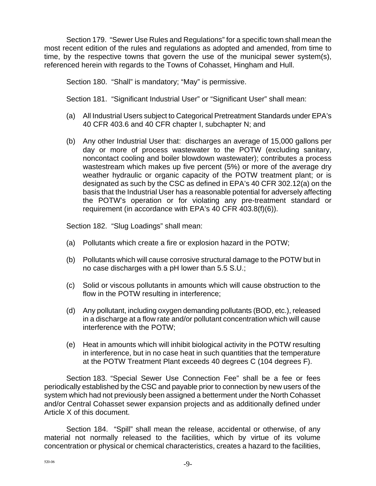Section 179. "Sewer Use Rules and Regulations" for a specific town shall mean the most recent edition of the rules and regulations as adopted and amended, from time to time, by the respective towns that govern the use of the municipal sewer system(s), referenced herein with regards to the Towns of Cohasset, Hingham and Hull.

Section 180. "Shall" is mandatory; "May" is permissive.

Section 181. "Significant Industrial User" or "Significant User" shall mean:

- (a) All Industrial Users subject to Categorical Pretreatment Standards under EPA's 40 CFR 403.6 and 40 CFR chapter I, subchapter N; and
- (b) Any other Industrial User that: discharges an average of 15,000 gallons per day or more of process wastewater to the POTW (excluding sanitary, noncontact cooling and boiler blowdown wastewater); contributes a process wastestream which makes up five percent (5%) or more of the average dry weather hydraulic or organic capacity of the POTW treatment plant; or is designated as such by the CSC as defined in EPA's 40 CFR 302.12(a) on the basis that the Industrial User has a reasonable potential for adversely affecting the POTW's operation or for violating any pre-treatment standard or requirement (in accordance with EPA's 40 CFR 403.8(f)(6)).

Section 182. "Slug Loadings" shall mean:

- (a) Pollutants which create a fire or explosion hazard in the POTW;
- (b) Pollutants which will cause corrosive structural damage to the POTW but in no case discharges with a pH lower than 5.5 S.U.;
- (c) Solid or viscous pollutants in amounts which will cause obstruction to the flow in the POTW resulting in interference;
- (d) Any pollutant, including oxygen demanding pollutants (BOD, etc.), released in a discharge at a flow rate and/or pollutant concentration which will cause interference with the POTW;
- (e) Heat in amounts which will inhibit biological activity in the POTW resulting in interference, but in no case heat in such quantities that the temperature at the POTW Treatment Plant exceeds 40 degrees C (104 degrees F).

Section 183. "Special Sewer Use Connection Fee" shall be a fee or fees periodically established by the CSC and payable prior to connection by new users of the system which had not previously been assigned a betterment under the North Cohasset and/or Central Cohasset sewer expansion projects and as additionally defined under Article X of this document.

Section 184. "Spill" shall mean the release, accidental or otherwise, of any material not normally released to the facilities, which by virtue of its volume concentration or physical or chemical characteristics, creates a hazard to the facilities,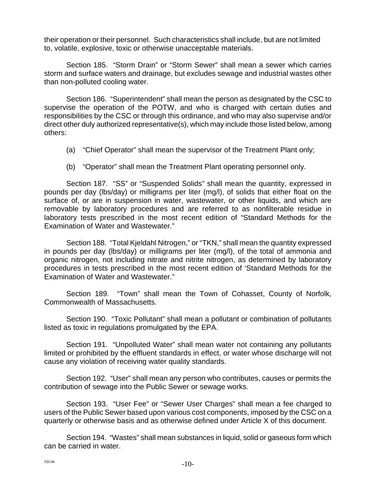their operation or their personnel. Such characteristics shall include, but are not limited to, volatile, explosive, toxic or otherwise unacceptable materials.

Section 185. "Storm Drain" or "Storm Sewer" shall mean a sewer which carries storm and surface waters and drainage, but excludes sewage and industrial wastes other than non-polluted cooling water.

Section 186. "Superintendent" shall mean the person as designated by the CSC to supervise the operation of the POTW, and who is charged with certain duties and responsibilities by the CSC or through this ordinance, and who may also supervise and/or direct other duly authorized representative(s), which may include those listed below, among others:

- (a) "Chief Operator" shall mean the supervisor of the Treatment Plant only;
- (b) "Operator" shall mean the Treatment Plant operating personnel only.

Section 187. "SS" or "Suspended Solids" shall mean the quantity, expressed in pounds per day (lbs/day) or milligrams per liter (mg/l), of solids that either float on the surface of, or are in suspension in water, wastewater, or other liquids, and which are removable by laboratory procedures and are referred to as nonfilterable residue in laboratory tests prescribed in the most recent edition of "Standard Methods for the Examination of Water and Wastewater."

Section 188. "Total Kjeldahl Nitrogen," or "TKN," shall mean the quantity expressed in pounds per day (lbs/day) or milligrams per liter (mg/l), of the total of ammonia and organic nitrogen, not including nitrate and nitrite nitrogen, as determined by laboratory procedures in tests prescribed in the most recent edition of 'Standard Methods for the Examination of Water and Wastewater."

Section 189. "Town" shall mean the Town of Cohasset, County of Norfolk, Commonwealth of Massachusetts.

Section 190. "Toxic Pollutant" shall mean a pollutant or combination of pollutants listed as toxic in regulations promulgated by the EPA.

Section 191. "Unpolluted Water" shall mean water not containing any pollutants limited or prohibited by the effluent standards in effect, or water whose discharge will not cause any violation of receiving water quality standards.

Section 192. "User" shall mean any person who contributes, causes or permits the contribution of sewage into the Public Sewer or sewage works.

Section 193. "User Fee" or "Sewer User Charges" shall mean a fee charged to users of the Public Sewer based upon various cost components, imposed by the CSC on a quarterly or otherwise basis and as otherwise defined under Article X of this document.

Section 194. "Wastes" shall mean substances in liquid, solid or gaseous form which can be carried in water.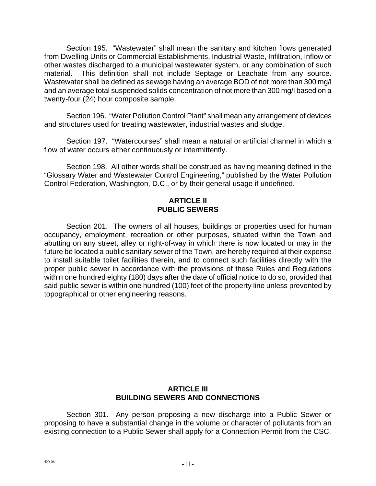Section 195. "Wastewater" shall mean the sanitary and kitchen flows generated from Dwelling Units or Commercial Establishments, Industrial Waste, Infiltration, Inflow or other wastes discharged to a municipal wastewater system, or any combination of such material. This definition shall not include Septage or Leachate from any source. Wastewater shall be defined as sewage having an average BOD of not more than 300 mg/l and an average total suspended solids concentration of not more than 300 mg/l based on a twenty-four (24) hour composite sample.

Section 196. "Water Pollution Control Plant" shall mean any arrangement of devices and structures used for treating wastewater, industrial wastes and sludge.

Section 197. "Watercourses" shall mean a natural or artificial channel in which a flow of water occurs either continuously or intermittently.

Section 198. All other words shall be construed as having meaning defined in the "Glossary Water and Wastewater Control Engineering," published by the Water Pollution Control Federation, Washington, D.C., or by their general usage if undefined.

## **ARTICLE II PUBLIC SEWERS**

Section 201. The owners of all houses, buildings or properties used for human occupancy, employment, recreation or other purposes, situated within the Town and abutting on any street, alley or right-of-way in which there is now located or may in the future be located a public sanitary sewer of the Town, are hereby required at their expense to install suitable toilet facilities therein, and to connect such facilities directly with the proper public sewer in accordance with the provisions of these Rules and Regulations within one hundred eighty (180) days after the date of official notice to do so, provided that said public sewer is within one hundred (100) feet of the property line unless prevented by topographical or other engineering reasons.

## **ARTICLE III BUILDING SEWERS AND CONNECTIONS**

Section 301. Any person proposing a new discharge into a Public Sewer or proposing to have a substantial change in the volume or character of pollutants from an existing connection to a Public Sewer shall apply for a Connection Permit from the CSC.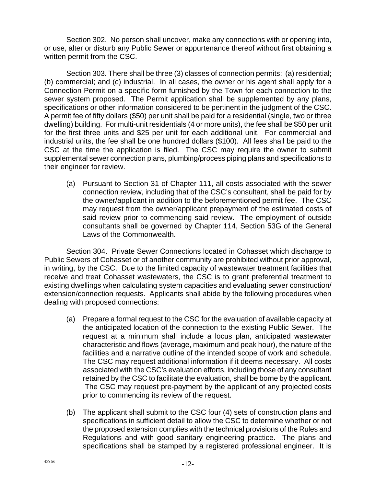Section 302. No person shall uncover, make any connections with or opening into, or use, alter or disturb any Public Sewer or appurtenance thereof without first obtaining a written permit from the CSC.

Section 303. There shall be three (3) classes of connection permits: (a) residential; (b) commercial; and (c) industrial. In all cases, the owner or his agent shall apply for a Connection Permit on a specific form furnished by the Town for each connection to the sewer system proposed. The Permit application shall be supplemented by any plans, specifications or other information considered to be pertinent in the judgment of the CSC. A permit fee of fifty dollars (\$50) per unit shall be paid for a residential (single, two or three dwelling) building. For multi-unit residentials (4 or more units), the fee shall be \$50 per unit for the first three units and \$25 per unit for each additional unit. For commercial and industrial units, the fee shall be one hundred dollars (\$100). All fees shall be paid to the CSC at the time the application is filed. The CSC may require the owner to submit supplemental sewer connection plans, plumbing/process piping plans and specifications to their engineer for review.

(a) Pursuant to Section 31 of Chapter 111, all costs associated with the sewer connection review, including that of the CSC's consultant, shall be paid for by the owner/applicant in addition to the beforementioned permit fee. The CSC may request from the owner/applicant prepayment of the estimated costs of said review prior to commencing said review. The employment of outside consultants shall be governed by Chapter 114, Section 53G of the General Laws of the Commonwealth.

Section 304. Private Sewer Connections located in Cohasset which discharge to Public Sewers of Cohasset or of another community are prohibited without prior approval, in writing, by the CSC. Due to the limited capacity of wastewater treatment facilities that receive and treat Cohasset wastewaters, the CSC is to grant preferential treatment to existing dwellings when calculating system capacities and evaluating sewer construction/ extension/connection requests. Applicants shall abide by the following procedures when dealing with proposed connections:

- (a) Prepare a formal request to the CSC for the evaluation of available capacity at the anticipated location of the connection to the existing Public Sewer. The request at a minimum shall include a locus plan, anticipated wastewater characteristic and flows (average, maximum and peak hour), the nature of the facilities and a narrative outline of the intended scope of work and schedule. The CSC may request additional information if it deems necessary. All costs associated with the CSC's evaluation efforts, including those of any consultant retained by the CSC to facilitate the evaluation, shall be borne by the applicant. The CSC may request pre-payment by the applicant of any projected costs prior to commencing its review of the request.
- (b) The applicant shall submit to the CSC four (4) sets of construction plans and specifications in sufficient detail to allow the CSC to determine whether or not the proposed extension complies with the technical provisions of the Rules and Regulations and with good sanitary engineering practice. The plans and specifications shall be stamped by a registered professional engineer. It is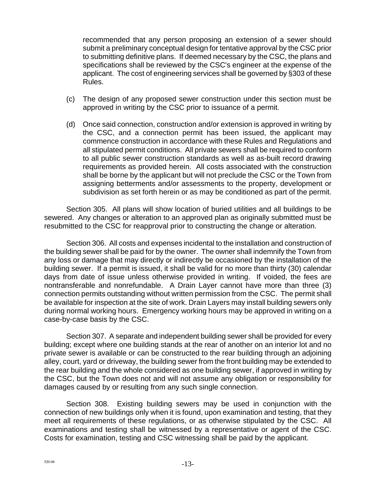recommended that any person proposing an extension of a sewer should submit a preliminary conceptual design for tentative approval by the CSC prior to submitting definitive plans. If deemed necessary by the CSC, the plans and specifications shall be reviewed by the CSC's engineer at the expense of the applicant. The cost of engineering services shall be governed by §303 of these Rules.

- (c) The design of any proposed sewer construction under this section must be approved in writing by the CSC prior to issuance of a permit.
- (d) Once said connection, construction and/or extension is approved in writing by the CSC, and a connection permit has been issued, the applicant may commence construction in accordance with these Rules and Regulations and all stipulated permit conditions. All private sewers shall be required to conform to all public sewer construction standards as well as as-built record drawing requirements as provided herein. All costs associated with the construction shall be borne by the applicant but will not preclude the CSC or the Town from assigning betterments and/or assessments to the property, development or subdivision as set forth herein or as may be conditioned as part of the permit.

Section 305. All plans will show location of buried utilities and all buildings to be sewered. Any changes or alteration to an approved plan as originally submitted must be resubmitted to the CSC for reapproval prior to constructing the change or alteration.

Section 306. All costs and expenses incidental to the installation and construction of the building sewer shall be paid for by the owner. The owner shall indemnify the Town from any loss or damage that may directly or indirectly be occasioned by the installation of the building sewer. If a permit is issued, it shall be valid for no more than thirty (30) calendar days from date of issue unless otherwise provided in writing. If voided, the fees are nontransferable and nonrefundable. A Drain Layer cannot have more than three (3) connection permits outstanding without written permission from the CSC. The permit shall be available for inspection at the site of work. Drain Layers may install building sewers only during normal working hours. Emergency working hours may be approved in writing on a case-by-case basis by the CSC.

Section 307. A separate and independent building sewer shall be provided for every building; except where one building stands at the rear of another on an interior lot and no private sewer is available or can be constructed to the rear building through an adjoining alley, court, yard or driveway, the building sewer from the front building may be extended to the rear building and the whole considered as one building sewer, if approved in writing by the CSC, but the Town does not and will not assume any obligation or responsibility for damages caused by or resulting from any such single connection.

Section 308. Existing building sewers may be used in conjunction with the connection of new buildings only when it is found, upon examination and testing, that they meet all requirements of these regulations, or as otherwise stipulated by the CSC. All examinations and testing shall be witnessed by a representative or agent of the CSC. Costs for examination, testing and CSC witnessing shall be paid by the applicant.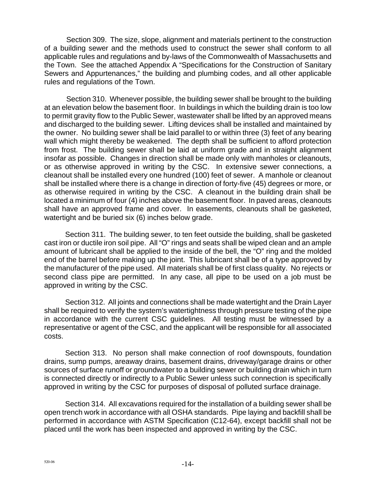Section 309. The size, slope, alignment and materials pertinent to the construction of a building sewer and the methods used to construct the sewer shall conform to all applicable rules and regulations and by-laws of the Commonwealth of Massachusetts and the Town. See the attached Appendix A "Specifications for the Construction of Sanitary Sewers and Appurtenances," the building and plumbing codes, and all other applicable rules and regulations of the Town.

Section 310. Whenever possible, the building sewer shall be brought to the building at an elevation below the basement floor. In buildings in which the building drain is too low to permit gravity flow to the Public Sewer, wastewater shall be lifted by an approved means and discharged to the building sewer. Lifting devices shall be installed and maintained by the owner. No building sewer shall be laid parallel to or within three (3) feet of any bearing wall which might thereby be weakened. The depth shall be sufficient to afford protection from frost. The building sewer shall be laid at uniform grade and in straight alignment insofar as possible. Changes in direction shall be made only with manholes or cleanouts, or as otherwise approved in writing by the CSC. In extensive sewer connections, a cleanout shall be installed every one hundred (100) feet of sewer. A manhole or cleanout shall be installed where there is a change in direction of forty-five (45) degrees or more, or as otherwise required in writing by the CSC. A cleanout in the building drain shall be located a minimum of four (4) inches above the basement floor. In paved areas, cleanouts shall have an approved frame and cover. In easements, cleanouts shall be gasketed, watertight and be buried six (6) inches below grade.

Section 311. The building sewer, to ten feet outside the building, shall be gasketed cast iron or ductile iron soil pipe. All "O" rings and seats shall be wiped clean and an ample amount of lubricant shall be applied to the inside of the bell, the "O" ring and the molded end of the barrel before making up the joint. This lubricant shall be of a type approved by the manufacturer of the pipe used. All materials shall be of first class quality. No rejects or second class pipe are permitted. In any case, all pipe to be used on a job must be approved in writing by the CSC.

Section 312. All joints and connections shall be made watertight and the Drain Layer shall be required to verify the system's watertightness through pressure testing of the pipe in accordance with the current CSC guidelines. All testing must be witnessed by a representative or agent of the CSC, and the applicant will be responsible for all associated costs.

Section 313. No person shall make connection of roof downspouts, foundation drains, sump pumps, areaway drains, basement drains, driveway/garage drains or other sources of surface runoff or groundwater to a building sewer or building drain which in turn is connected directly or indirectly to a Public Sewer unless such connection is specifically approved in writing by the CSC for purposes of disposal of polluted surface drainage.

Section 314. All excavations required for the installation of a building sewer shall be open trench work in accordance with all OSHA standards. Pipe laying and backfill shall be performed in accordance with ASTM Specification (C12-64), except backfill shall not be placed until the work has been inspected and approved in writing by the CSC.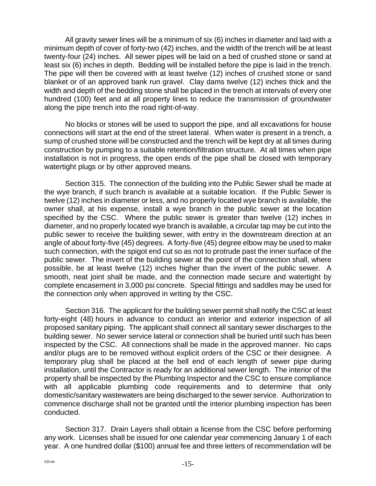All gravity sewer lines will be a minimum of six (6) inches in diameter and laid with a minimum depth of cover of forty-two (42) inches, and the width of the trench will be at least twenty-four (24) inches. All sewer pipes will be laid on a bed of crushed stone or sand at least six (6) inches in depth. Bedding will be installed before the pipe is laid in the trench. The pipe will then be covered with at least twelve (12) inches of crushed stone or sand blanket or of an approved bank run gravel. Clay dams twelve (12) inches thick and the width and depth of the bedding stone shall be placed in the trench at intervals of every one hundred (100) feet and at all property lines to reduce the transmission of groundwater along the pipe trench into the road right-of-way.

No blocks or stones will be used to support the pipe, and all excavations for house connections will start at the end of the street lateral. When water is present in a trench, a sump of crushed stone will be constructed and the trench will be kept dry at all times during construction by pumping to a suitable retention/filtration structure. At all times when pipe installation is not in progress, the open ends of the pipe shall be closed with temporary watertight plugs or by other approved means.

Section 315. The connection of the building into the Public Sewer shall be made at the wye branch, if such branch is available at a suitable location. If the Public Sewer is twelve (12) inches in diameter or less, and no properly located wye branch is available, the owner shall, at his expense, install a wye branch in the public sewer at the location specified by the CSC. Where the public sewer is greater than twelve (12) inches in diameter, and no properly located wye branch is available, a circular tap may be cut into the public sewer to receive the building sewer, with entry in the downstream direction at an angle of about forty-five (45) degrees. A forty-five (45) degree elbow may be used to make such connection, with the spigot end cut so as not to protrude past the inner surface of the public sewer. The invert of the building sewer at the point of the connection shall, where possible, be at least twelve (12) inches higher than the invert of the public sewer. A smooth, neat joint shall be made, and the connection made secure and watertight by complete encasement in 3,000 psi concrete. Special fittings and saddles may be used for the connection only when approved in writing by the CSC.

Section 316. The applicant for the building sewer permit shall notify the CSC at least forty-eight (48) hours in advance to conduct an interior and exterior inspection of all proposed sanitary piping. The applicant shall connect all sanitary sewer discharges to the building sewer. No sewer service lateral or connection shall be buried until such has been inspected by the CSC. All connections shall be made in the approved manner. No caps and/or plugs are to be removed without explicit orders of the CSC or their designee. A temporary plug shall be placed at the bell end of each length of sewer pipe during installation, until the Contractor is ready for an additional sewer length. The interior of the property shall be inspected by the Plumbing Inspector and the CSC to ensure compliance with all applicable plumbing code requirements and to determine that only domestic/sanitary wastewaters are being discharged to the sewer service. Authorization to commence discharge shall not be granted until the interior plumbing inspection has been conducted.

Section 317. Drain Layers shall obtain a license from the CSC before performing any work. Licenses shall be issued for one calendar year commencing January 1 of each year. A one hundred dollar (\$100) annual fee and three letters of recommendation will be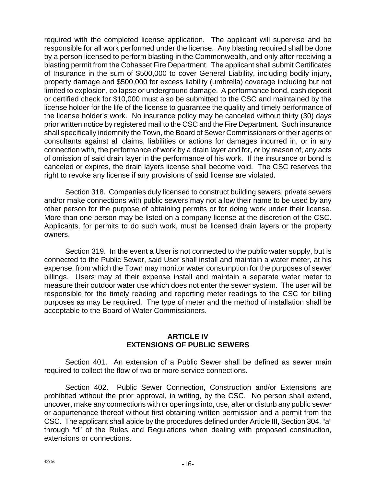required with the completed license application. The applicant will supervise and be responsible for all work performed under the license. Any blasting required shall be done by a person licensed to perform blasting in the Commonwealth, and only after receiving a blasting permit from the Cohasset Fire Department. The applicant shall submit Certificates of Insurance in the sum of \$500,000 to cover General Liability, including bodily injury, property damage and \$500,000 for excess liability (umbrella) coverage including but not limited to explosion, collapse or underground damage. A performance bond, cash deposit or certified check for \$10,000 must also be submitted to the CSC and maintained by the license holder for the life of the license to guarantee the quality and timely performance of the license holder's work. No insurance policy may be canceled without thirty (30) days prior written notice by registered mail to the CSC and the Fire Department. Such insurance shall specifically indemnify the Town, the Board of Sewer Commissioners or their agents or consultants against all claims, liabilities or actions for damages incurred in, or in any connection with, the performance of work by a drain layer and for, or by reason of, any acts of omission of said drain layer in the performance of his work. If the insurance or bond is canceled or expires, the drain layers license shall become void. The CSC reserves the right to revoke any license if any provisions of said license are violated.

Section 318. Companies duly licensed to construct building sewers, private sewers and/or make connections with public sewers may not allow their name to be used by any other person for the purpose of obtaining permits or for doing work under their license. More than one person may be listed on a company license at the discretion of the CSC. Applicants, for permits to do such work, must be licensed drain layers or the property owners.

Section 319. In the event a User is not connected to the public water supply, but is connected to the Public Sewer, said User shall install and maintain a water meter, at his expense, from which the Town may monitor water consumption for the purposes of sewer billings. Users may at their expense install and maintain a separate water meter to measure their outdoor water use which does not enter the sewer system. The user will be responsible for the timely reading and reporting meter readings to the CSC for billing purposes as may be required. The type of meter and the method of installation shall be acceptable to the Board of Water Commissioners.

#### **ARTICLE IV EXTENSIONS OF PUBLIC SEWERS**

Section 401. An extension of a Public Sewer shall be defined as sewer main required to collect the flow of two or more service connections.

Section 402. Public Sewer Connection, Construction and/or Extensions are prohibited without the prior approval, in writing, by the CSC. No person shall extend, uncover, make any connections with or openings into, use, alter or disturb any public sewer or appurtenance thereof without first obtaining written permission and a permit from the CSC. The applicant shall abide by the procedures defined under Article III, Section 304, "a" through "d" of the Rules and Regulations when dealing with proposed construction, extensions or connections.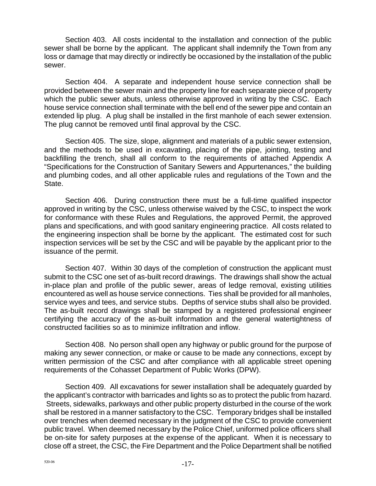Section 403. All costs incidental to the installation and connection of the public sewer shall be borne by the applicant. The applicant shall indemnify the Town from any loss or damage that may directly or indirectly be occasioned by the installation of the public sewer.

Section 404. A separate and independent house service connection shall be provided between the sewer main and the property line for each separate piece of property which the public sewer abuts, unless otherwise approved in writing by the CSC. Each house service connection shall terminate with the bell end of the sewer pipe and contain an extended lip plug. A plug shall be installed in the first manhole of each sewer extension. The plug cannot be removed until final approval by the CSC.

Section 405. The size, slope, alignment and materials of a public sewer extension, and the methods to be used in excavating, placing of the pipe, jointing, testing and backfilling the trench, shall all conform to the requirements of attached Appendix A "Specifications for the Construction of Sanitary Sewers and Appurtenances," the building and plumbing codes, and all other applicable rules and regulations of the Town and the State.

Section 406. During construction there must be a full-time qualified inspector approved in writing by the CSC, unless otherwise waived by the CSC, to inspect the work for conformance with these Rules and Regulations, the approved Permit, the approved plans and specifications, and with good sanitary engineering practice. All costs related to the engineering inspection shall be borne by the applicant. The estimated cost for such inspection services will be set by the CSC and will be payable by the applicant prior to the issuance of the permit.

Section 407. Within 30 days of the completion of construction the applicant must submit to the CSC one set of as-built record drawings. The drawings shall show the actual in-place plan and profile of the public sewer, areas of ledge removal, existing utilities encountered as well as house service connections. Ties shall be provided for all manholes, service wyes and tees, and service stubs. Depths of service stubs shall also be provided. The as-built record drawings shall be stamped by a registered professional engineer certifying the accuracy of the as-built information and the general watertightness of constructed facilities so as to minimize infiltration and inflow.

Section 408. No person shall open any highway or public ground for the purpose of making any sewer connection, or make or cause to be made any connections, except by written permission of the CSC and after compliance with all applicable street opening requirements of the Cohasset Department of Public Works (DPW).

Section 409. All excavations for sewer installation shall be adequately guarded by the applicant's contractor with barricades and lights so as to protect the public from hazard. Streets, sidewalks, parkways and other public property disturbed in the course of the work shall be restored in a manner satisfactory to the CSC. Temporary bridges shall be installed over trenches when deemed necessary in the judgment of the CSC to provide convenient public travel. When deemed necessary by the Police Chief, uniformed police officers shall be on-site for safety purposes at the expense of the applicant. When it is necessary to close off a street, the CSC, the Fire Department and the Police Department shall be notified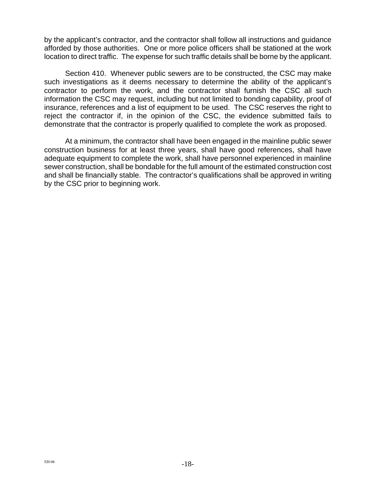by the applicant's contractor, and the contractor shall follow all instructions and guidance afforded by those authorities. One or more police officers shall be stationed at the work location to direct traffic. The expense for such traffic details shall be borne by the applicant.

Section 410. Whenever public sewers are to be constructed, the CSC may make such investigations as it deems necessary to determine the ability of the applicant's contractor to perform the work, and the contractor shall furnish the CSC all such information the CSC may request, including but not limited to bonding capability, proof of insurance, references and a list of equipment to be used. The CSC reserves the right to reject the contractor if, in the opinion of the CSC, the evidence submitted fails to demonstrate that the contractor is properly qualified to complete the work as proposed.

At a minimum, the contractor shall have been engaged in the mainline public sewer construction business for at least three years, shall have good references, shall have adequate equipment to complete the work, shall have personnel experienced in mainline sewer construction, shall be bondable for the full amount of the estimated construction cost and shall be financially stable. The contractor's qualifications shall be approved in writing by the CSC prior to beginning work.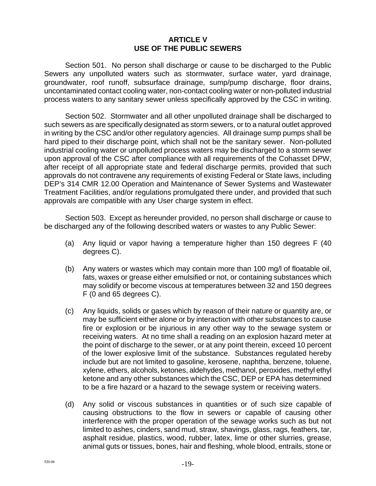#### **ARTICLE V USE OF THE PUBLIC SEWERS**

Section 501. No person shall discharge or cause to be discharged to the Public Sewers any unpolluted waters such as stormwater, surface water, yard drainage, groundwater, roof runoff, subsurface drainage, sump/pump discharge, floor drains, uncontaminated contact cooling water, non-contact cooling water or non-polluted industrial process waters to any sanitary sewer unless specifically approved by the CSC in writing.

Section 502. Stormwater and all other unpolluted drainage shall be discharged to such sewers as are specifically designated as storm sewers, or to a natural outlet approved in writing by the CSC and/or other regulatory agencies. All drainage sump pumps shall be hard piped to their discharge point, which shall not be the sanitary sewer. Non-polluted industrial cooling water or unpolluted process waters may be discharged to a storm sewer upon approval of the CSC after compliance with all requirements of the Cohasset DPW, after receipt of all appropriate state and federal discharge permits, provided that such approvals do not contravene any requirements of existing Federal or State laws, including DEP's 314 CMR 12.00 Operation and Maintenance of Sewer Systems and Wastewater Treatment Facilities, and/or regulations promulgated there under, and provided that such approvals are compatible with any User charge system in effect.

Section 503. Except as hereunder provided, no person shall discharge or cause to be discharged any of the following described waters or wastes to any Public Sewer:

- (a) Any liquid or vapor having a temperature higher than 150 degrees F (40 degrees C).
- (b) Any waters or wastes which may contain more than 100 mg/l of floatable oil, fats, waxes or grease either emulsified or not, or containing substances which may solidify or become viscous at temperatures between 32 and 150 degrees F (0 and 65 degrees C).
- (c) Any liquids, solids or gases which by reason of their nature or quantity are, or may be sufficient either alone or by interaction with other substances to cause fire or explosion or be injurious in any other way to the sewage system or receiving waters. At no time shall a reading on an explosion hazard meter at the point of discharge to the sewer, or at any point therein, exceed 10 percent of the lower explosive limit of the substance. Substances regulated hereby include but are not limited to gasoline, kerosene, naphtha, benzene, toluene, xylene, ethers, alcohols, ketones, aldehydes, methanol, peroxides, methyl ethyl ketone and any other substances which the CSC, DEP or EPA has determined to be a fire hazard or a hazard to the sewage system or receiving waters.
- (d) Any solid or viscous substances in quantities or of such size capable of causing obstructions to the flow in sewers or capable of causing other interference with the proper operation of the sewage works such as but not limited to ashes, cinders, sand mud, straw, shavings, glass, rags, feathers, tar, asphalt residue, plastics, wood, rubber, latex, lime or other slurries, grease, animal guts or tissues, bones, hair and fleshing, whole blood, entrails, stone or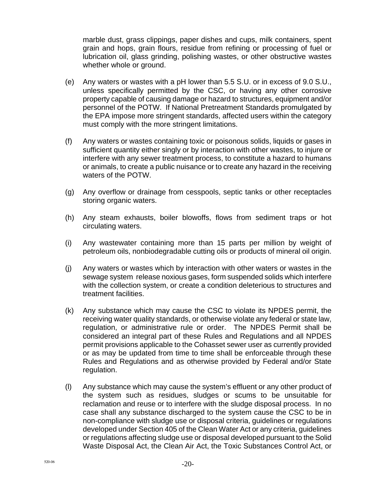marble dust, grass clippings, paper dishes and cups, milk containers, spent grain and hops, grain flours, residue from refining or processing of fuel or lubrication oil, glass grinding, polishing wastes, or other obstructive wastes whether whole or ground.

- (e) Any waters or wastes with a pH lower than 5.5 S.U. or in excess of 9.0 S.U., unless specifically permitted by the CSC, or having any other corrosive property capable of causing damage or hazard to structures, equipment and/or personnel of the POTW. If National Pretreatment Standards promulgated by the EPA impose more stringent standards, affected users within the category must comply with the more stringent limitations.
- (f) Any waters or wastes containing toxic or poisonous solids, liquids or gases in sufficient quantity either singly or by interaction with other wastes, to injure or interfere with any sewer treatment process, to constitute a hazard to humans or animals, to create a public nuisance or to create any hazard in the receiving waters of the POTW.
- (g) Any overflow or drainage from cesspools, septic tanks or other receptacles storing organic waters.
- (h) Any steam exhausts, boiler blowoffs, flows from sediment traps or hot circulating waters.
- (i) Any wastewater containing more than 15 parts per million by weight of petroleum oils, nonbiodegradable cutting oils or products of mineral oil origin.
- (j) Any waters or wastes which by interaction with other waters or wastes in the sewage system release noxious gases, form suspended solids which interfere with the collection system, or create a condition deleterious to structures and treatment facilities.
- (k) Any substance which may cause the CSC to violate its NPDES permit, the receiving water quality standards, or otherwise violate any federal or state law, regulation, or administrative rule or order. The NPDES Permit shall be considered an integral part of these Rules and Regulations and all NPDES permit provisions applicable to the Cohasset sewer user as currently provided or as may be updated from time to time shall be enforceable through these Rules and Regulations and as otherwise provided by Federal and/or State regulation.
- (l) Any substance which may cause the system's effluent or any other product of the system such as residues, sludges or scums to be unsuitable for reclamation and reuse or to interfere with the sludge disposal process. In no case shall any substance discharged to the system cause the CSC to be in non-compliance with sludge use or disposal criteria, guidelines or regulations developed under Section 405 of the Clean Water Act or any criteria, guidelines or regulations affecting sludge use or disposal developed pursuant to the Solid Waste Disposal Act, the Clean Air Act, the Toxic Substances Control Act, or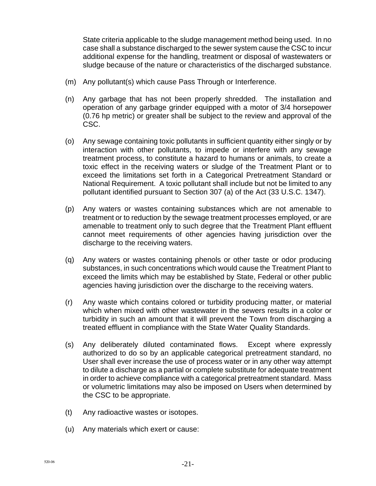State criteria applicable to the sludge management method being used. In no case shall a substance discharged to the sewer system cause the CSC to incur additional expense for the handling, treatment or disposal of wastewaters or sludge because of the nature or characteristics of the discharged substance.

- (m) Any pollutant(s) which cause Pass Through or Interference.
- (n) Any garbage that has not been properly shredded. The installation and operation of any garbage grinder equipped with a motor of 3/4 horsepower (0.76 hp metric) or greater shall be subject to the review and approval of the CSC.
- (o) Any sewage containing toxic pollutants in sufficient quantity either singly or by interaction with other pollutants, to impede or interfere with any sewage treatment process, to constitute a hazard to humans or animals, to create a toxic effect in the receiving waters or sludge of the Treatment Plant or to exceed the limitations set forth in a Categorical Pretreatment Standard or National Requirement. A toxic pollutant shall include but not be limited to any pollutant identified pursuant to Section 307 (a) of the Act (33 U.S.C. 1347).
- (p) Any waters or wastes containing substances which are not amenable to treatment or to reduction by the sewage treatment processes employed, or are amenable to treatment only to such degree that the Treatment Plant effluent cannot meet requirements of other agencies having jurisdiction over the discharge to the receiving waters.
- (q) Any waters or wastes containing phenols or other taste or odor producing substances, in such concentrations which would cause the Treatment Plant to exceed the limits which may be established by State, Federal or other public agencies having jurisdiction over the discharge to the receiving waters.
- (r) Any waste which contains colored or turbidity producing matter, or material which when mixed with other wastewater in the sewers results in a color or turbidity in such an amount that it will prevent the Town from discharging a treated effluent in compliance with the State Water Quality Standards.
- (s) Any deliberately diluted contaminated flows. Except where expressly authorized to do so by an applicable categorical pretreatment standard, no User shall ever increase the use of process water or in any other way attempt to dilute a discharge as a partial or complete substitute for adequate treatment in order to achieve compliance with a categorical pretreatment standard. Mass or volumetric limitations may also be imposed on Users when determined by the CSC to be appropriate.
- (t) Any radioactive wastes or isotopes.
- (u) Any materials which exert or cause: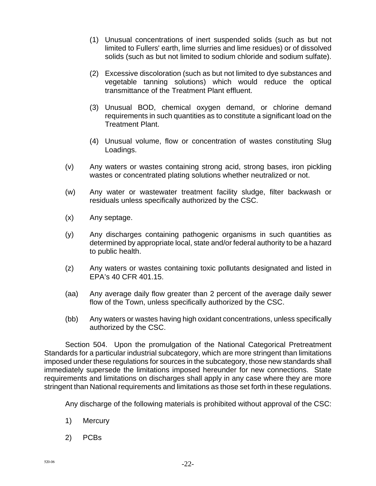- (1) Unusual concentrations of inert suspended solids (such as but not limited to Fullers' earth, lime slurries and lime residues) or of dissolved solids (such as but not limited to sodium chloride and sodium sulfate).
- (2) Excessive discoloration (such as but not limited to dye substances and vegetable tanning solutions) which would reduce the optical transmittance of the Treatment Plant effluent.
- (3) Unusual BOD, chemical oxygen demand, or chlorine demand requirements in such quantities as to constitute a significant load on the Treatment Plant.
- (4) Unusual volume, flow or concentration of wastes constituting Slug Loadings.
- (v) Any waters or wastes containing strong acid, strong bases, iron pickling wastes or concentrated plating solutions whether neutralized or not.
- (w) Any water or wastewater treatment facility sludge, filter backwash or residuals unless specifically authorized by the CSC.
- (x) Any septage.
- (y) Any discharges containing pathogenic organisms in such quantities as determined by appropriate local, state and/or federal authority to be a hazard to public health.
- (z) Any waters or wastes containing toxic pollutants designated and listed in EPA's 40 CFR 401.15.
- (aa) Any average daily flow greater than 2 percent of the average daily sewer flow of the Town, unless specifically authorized by the CSC.
- (bb) Any waters or wastes having high oxidant concentrations, unless specifically authorized by the CSC.

Section 504. Upon the promulgation of the National Categorical Pretreatment Standards for a particular industrial subcategory, which are more stringent than limitations imposed under these regulations for sources in the subcategory, those new standards shall immediately supersede the limitations imposed hereunder for new connections. State requirements and limitations on discharges shall apply in any case where they are more stringent than National requirements and limitations as those set forth in these regulations.

Any discharge of the following materials is prohibited without approval of the CSC:

- 1) Mercury
- 2) PCBs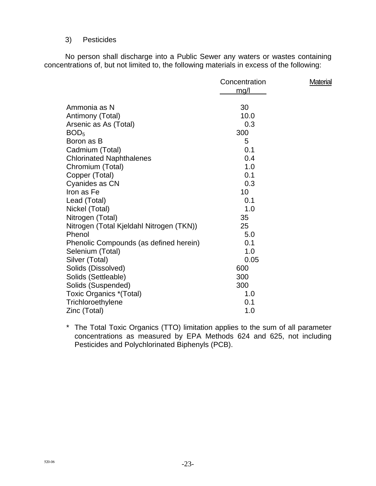#### 3) Pesticides

No person shall discharge into a Public Sewer any waters or wastes containing concentrations of, but not limited to, the following materials in excess of the following:

|                                          | Concentration<br>mg/l | <b>Material</b> |
|------------------------------------------|-----------------------|-----------------|
| Ammonia as N                             | 30                    |                 |
| Antimony (Total)                         | 10.0                  |                 |
| Arsenic as As (Total)                    | 0.3                   |                 |
| BOD <sub>5</sub>                         | 300                   |                 |
| Boron as B                               | 5                     |                 |
| Cadmium (Total)                          | 0.1                   |                 |
| <b>Chlorinated Naphthalenes</b>          | 0.4                   |                 |
| Chromium (Total)                         | 1.0                   |                 |
| Copper (Total)                           | 0.1                   |                 |
| Cyanides as CN                           | 0.3                   |                 |
| Iron as Fe                               | 10                    |                 |
| Lead (Total)                             | 0.1                   |                 |
| Nickel (Total)                           | 1.0                   |                 |
| Nitrogen (Total)                         | 35                    |                 |
| Nitrogen (Total Kjeldahl Nitrogen (TKN)) | 25                    |                 |
| Phenol                                   | 5.0                   |                 |
| Phenolic Compounds (as defined herein)   | 0.1                   |                 |
| Selenium (Total)                         | 1.0                   |                 |
| Silver (Total)                           | 0.05                  |                 |
| Solids (Dissolved)                       | 600                   |                 |
| Solids (Settleable)                      | 300                   |                 |
| Solids (Suspended)                       | 300                   |                 |
| Toxic Organics *(Total)                  | 1.0                   |                 |
| Trichloroethylene                        | 0.1                   |                 |
| Zinc (Total)                             | 1.0                   |                 |

\* The Total Toxic Organics (TTO) limitation applies to the sum of all parameter concentrations as measured by EPA Methods 624 and 625, not including Pesticides and Polychlorinated Biphenyls (PCB).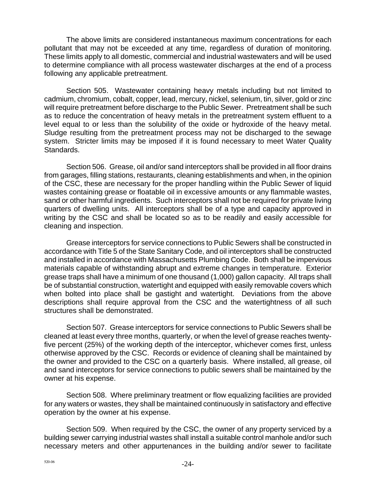The above limits are considered instantaneous maximum concentrations for each pollutant that may not be exceeded at any time, regardless of duration of monitoring. These limits apply to all domestic, commercial and industrial wastewaters and will be used to determine compliance with all process wastewater discharges at the end of a process following any applicable pretreatment.

Section 505. Wastewater containing heavy metals including but not limited to cadmium, chromium, cobalt, copper, lead, mercury, nickel, selenium, tin, silver, gold or zinc will require pretreatment before discharge to the Public Sewer. Pretreatment shall be such as to reduce the concentration of heavy metals in the pretreatment system effluent to a level equal to or less than the solubility of the oxide or hydroxide of the heavy metal. Sludge resulting from the pretreatment process may not be discharged to the sewage system. Stricter limits may be imposed if it is found necessary to meet Water Quality Standards.

Section 506. Grease, oil and/or sand interceptors shall be provided in all floor drains from garages, filling stations, restaurants, cleaning establishments and when, in the opinion of the CSC, these are necessary for the proper handling within the Public Sewer of liquid wastes containing grease or floatable oil in excessive amounts or any flammable wastes, sand or other harmful ingredients. Such interceptors shall not be required for private living quarters of dwelling units. All interceptors shall be of a type and capacity approved in writing by the CSC and shall be located so as to be readily and easily accessible for cleaning and inspection.

Grease interceptors for service connections to Public Sewers shall be constructed in accordance with Title 5 of the State Sanitary Code, and oil interceptors shall be constructed and installed in accordance with Massachusetts Plumbing Code. Both shall be impervious materials capable of withstanding abrupt and extreme changes in temperature. Exterior grease traps shall have a minimum of one thousand (1,000) gallon capacity. All traps shall be of substantial construction, watertight and equipped with easily removable covers which when bolted into place shall be gastight and watertight. Deviations from the above descriptions shall require approval from the CSC and the watertightness of all such structures shall be demonstrated.

Section 507. Grease interceptors for service connections to Public Sewers shall be cleaned at least every three months, quarterly, or when the level of grease reaches twentyfive percent (25%) of the working depth of the interceptor, whichever comes first, unless otherwise approved by the CSC. Records or evidence of cleaning shall be maintained by the owner and provided to the CSC on a quarterly basis. Where installed, all grease, oil and sand interceptors for service connections to public sewers shall be maintained by the owner at his expense.

Section 508. Where preliminary treatment or flow equalizing facilities are provided for any waters or wastes, they shall be maintained continuously in satisfactory and effective operation by the owner at his expense.

Section 509. When required by the CSC, the owner of any property serviced by a building sewer carrying industrial wastes shall install a suitable control manhole and/or such necessary meters and other appurtenances in the building and/or sewer to facilitate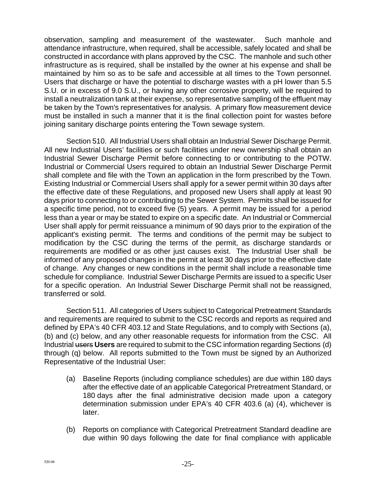observation, sampling and measurement of the wastewater. Such manhole and attendance infrastructure, when required, shall be accessible, safely located and shall be constructed in accordance with plans approved by the CSC. The manhole and such other infrastructure as is required, shall be installed by the owner at his expense and shall be maintained by him so as to be safe and accessible at all times to the Town personnel. Users that discharge or have the potential to discharge wastes with a pH lower than 5.5 S.U. or in excess of 9.0 S.U., or having any other corrosive property, will be required to install a neutralization tank at their expense, so representative sampling of the effluent may be taken by the Town's representatives for analysis. A primary flow measurement device must be installed in such a manner that it is the final collection point for wastes before joining sanitary discharge points entering the Town sewage system.

Section 510. All Industrial Users shall obtain an Industrial Sewer Discharge Permit. All new Industrial Users' facilities or such facilities under new ownership shall obtain an Industrial Sewer Discharge Permit before connecting to or contributing to the POTW. Industrial or Commercial Users required to obtain an Industrial Sewer Discharge Permit shall complete and file with the Town an application in the form prescribed by the Town. Existing Industrial or Commercial Users shall apply for a sewer permit within 30 days after the effective date of these Regulations, and proposed new Users shall apply at least 90 days prior to connecting to or contributing to the Sewer System. Permits shall be issued for a specific time period, not to exceed five (5) years. A permit may be issued for a period less than a year or may be stated to expire on a specific date. An Industrial or Commercial User shall apply for permit reissuance a minimum of 90 days prior to the expiration of the applicant's existing permit. The terms and conditions of the permit may be subject to modification by the CSC during the terms of the permit, as discharge standards or requirements are modified or as other just causes exist. The Industrial User shall be informed of any proposed changes in the permit at least 30 days prior to the effective date of change. Any changes or new conditions in the permit shall include a reasonable time schedule for compliance. Industrial Sewer Discharge Permits are issued to a specific User for a specific operation. An Industrial Sewer Discharge Permit shall not be reassigned, transferred or sold.

Section 511. All categories of Users subject to Categorical Pretreatment Standards and requirements are required to submit to the CSC records and reports as required and defined by EPA's 40 CFR 403.12 and State Regulations, and to comply with Sections (a), (b) and (c) below, and any other reasonable requests for information from the CSC. All Industrial users **Users** are required to submit to the CSC information regarding Sections (d) through (q) below. All reports submitted to the Town must be signed by an Authorized Representative of the Industrial User:

- (a) Baseline Reports (including compliance schedules) are due within 180 days after the effective date of an applicable Categorical Pretreatment Standard, or 180 days after the final administrative decision made upon a category determination submission under EPA's 40 CFR 403.6 (a) (4), whichever is later.
- (b) Reports on compliance with Categorical Pretreatment Standard deadline are due within 90 days following the date for final compliance with applicable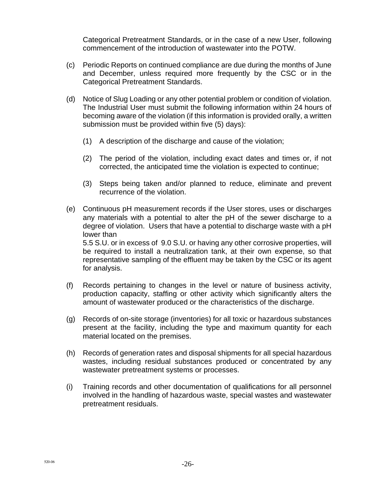Categorical Pretreatment Standards, or in the case of a new User, following commencement of the introduction of wastewater into the POTW.

- (c) Periodic Reports on continued compliance are due during the months of June and December, unless required more frequently by the CSC or in the Categorical Pretreatment Standards.
- (d) Notice of Slug Loading or any other potential problem or condition of violation. The Industrial User must submit the following information within 24 hours of becoming aware of the violation (if this information is provided orally, a written submission must be provided within five (5) days):
	- (1) A description of the discharge and cause of the violation;
	- (2) The period of the violation, including exact dates and times or, if not corrected, the anticipated time the violation is expected to continue;
	- (3) Steps being taken and/or planned to reduce, eliminate and prevent recurrence of the violation.
- (e) Continuous pH measurement records if the User stores, uses or discharges any materials with a potential to alter the pH of the sewer discharge to a degree of violation. Users that have a potential to discharge waste with a pH lower than 5.5 S.U. or in excess of 9.0 S.U. or having any other corrosive properties, will

be required to install a neutralization tank, at their own expense, so that representative sampling of the effluent may be taken by the CSC or its agent for analysis.

- (f) Records pertaining to changes in the level or nature of business activity, production capacity, staffing or other activity which significantly alters the amount of wastewater produced or the characteristics of the discharge.
- (g) Records of on-site storage (inventories) for all toxic or hazardous substances present at the facility, including the type and maximum quantity for each material located on the premises.
- (h) Records of generation rates and disposal shipments for all special hazardous wastes, including residual substances produced or concentrated by any wastewater pretreatment systems or processes.
- (i) Training records and other documentation of qualifications for all personnel involved in the handling of hazardous waste, special wastes and wastewater pretreatment residuals.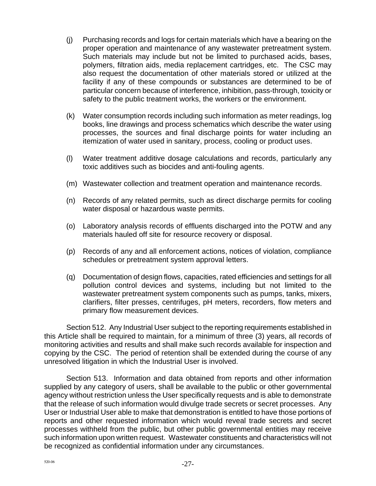- (j) Purchasing records and logs for certain materials which have a bearing on the proper operation and maintenance of any wastewater pretreatment system. Such materials may include but not be limited to purchased acids, bases, polymers, filtration aids, media replacement cartridges, etc. The CSC may also request the documentation of other materials stored or utilized at the facility if any of these compounds or substances are determined to be of particular concern because of interference, inhibition, pass-through, toxicity or safety to the public treatment works, the workers or the environment.
- (k) Water consumption records including such information as meter readings, log books, line drawings and process schematics which describe the water using processes, the sources and final discharge points for water including an itemization of water used in sanitary, process, cooling or product uses.
- (l) Water treatment additive dosage calculations and records, particularly any toxic additives such as biocides and anti-fouling agents.
- (m) Wastewater collection and treatment operation and maintenance records.
- (n) Records of any related permits, such as direct discharge permits for cooling water disposal or hazardous waste permits.
- (o) Laboratory analysis records of effluents discharged into the POTW and any materials hauled off site for resource recovery or disposal.
- (p) Records of any and all enforcement actions, notices of violation, compliance schedules or pretreatment system approval letters.
- (q) Documentation of design flows, capacities, rated efficiencies and settings for all pollution control devices and systems, including but not limited to the wastewater pretreatment system components such as pumps, tanks, mixers, clarifiers, filter presses, centrifuges, pH meters, recorders, flow meters and primary flow measurement devices.

Section 512. Any Industrial User subject to the reporting requirements established in this Article shall be required to maintain, for a minimum of three (3) years, all records of monitoring activities and results and shall make such records available for inspection and copying by the CSC. The period of retention shall be extended during the course of any unresolved litigation in which the Industrial User is involved.

Section 513. Information and data obtained from reports and other information supplied by any category of users, shall be available to the public or other governmental agency without restriction unless the User specifically requests and is able to demonstrate that the release of such information would divulge trade secrets or secret processes. Any User or Industrial User able to make that demonstration is entitled to have those portions of reports and other requested information which would reveal trade secrets and secret processes withheld from the public, but other public governmental entities may receive such information upon written request. Wastewater constituents and characteristics will not be recognized as confidential information under any circumstances.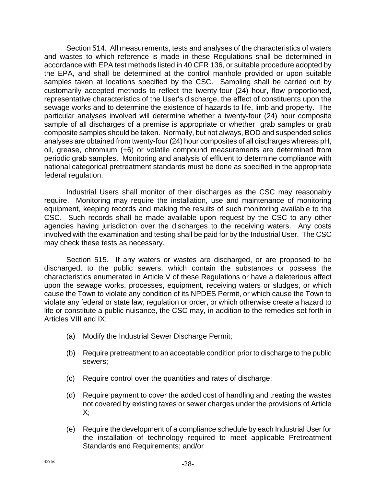Section 514. All measurements, tests and analyses of the characteristics of waters and wastes to which reference is made in these Regulations shall be determined in accordance with EPA test methods listed in 40 CFR 136, or suitable procedure adopted by the EPA, and shall be determined at the control manhole provided or upon suitable samples taken at locations specified by the CSC. Sampling shall be carried out by customarily accepted methods to reflect the twenty-four (24) hour, flow proportioned, representative characteristics of the User's discharge, the effect of constituents upon the sewage works and to determine the existence of hazards to life, limb and property. The particular analyses involved will determine whether a twenty-four (24) hour composite sample of all discharges of a premise is appropriate or whether grab samples or grab composite samples should be taken. Normally, but not always, BOD and suspended solids analyses are obtained from twenty-four (24) hour composites of all discharges whereas pH, oil, grease, chromium (+6) or volatile compound measurements are determined from periodic grab samples. Monitoring and analysis of effluent to determine compliance with national categorical pretreatment standards must be done as specified in the appropriate federal regulation.

Industrial Users shall monitor of their discharges as the CSC may reasonably require. Monitoring may require the installation, use and maintenance of monitoring equipment, keeping records and making the results of such monitoring available to the CSC. Such records shall be made available upon request by the CSC to any other agencies having jurisdiction over the discharges to the receiving waters. Any costs involved with the examination and testing shall be paid for by the Industrial User. The CSC may check these tests as necessary.

Section 515. If any waters or wastes are discharged, or are proposed to be discharged, to the public sewers, which contain the substances or possess the characteristics enumerated in Article V of these Regulations or have a deleterious affect upon the sewage works, processes, equipment, receiving waters or sludges, or which cause the Town to violate any condition of its NPDES Permit, or which cause the Town to violate any federal or state law, regulation or order, or which otherwise create a hazard to life or constitute a public nuisance, the CSC may, in addition to the remedies set forth in Articles VIII and IX:

- (a) Modify the Industrial Sewer Discharge Permit;
- (b) Require pretreatment to an acceptable condition prior to discharge to the public sewers;
- (c) Require control over the quantities and rates of discharge;
- (d) Require payment to cover the added cost of handling and treating the wastes not covered by existing taxes or sewer charges under the provisions of Article  $X$ :
- (e) Require the development of a compliance schedule by each Industrial User for the installation of technology required to meet applicable Pretreatment Standards and Requirements; and/or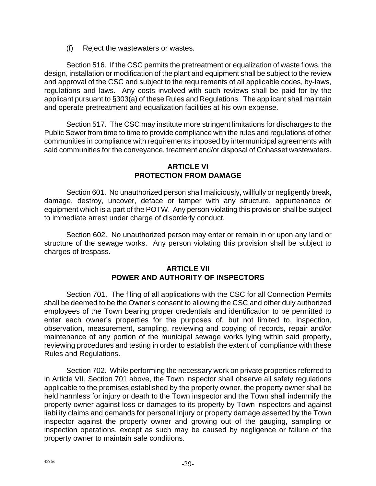(f) Reject the wastewaters or wastes.

Section 516. If the CSC permits the pretreatment or equalization of waste flows, the design, installation or modification of the plant and equipment shall be subject to the review and approval of the CSC and subject to the requirements of all applicable codes, by-laws, regulations and laws. Any costs involved with such reviews shall be paid for by the applicant pursuant to §303(a) of these Rules and Regulations. The applicant shall maintain and operate pretreatment and equalization facilities at his own expense.

Section 517. The CSC may institute more stringent limitations for discharges to the Public Sewer from time to time to provide compliance with the rules and regulations of other communities in compliance with requirements imposed by intermunicipal agreements with said communities for the conveyance, treatment and/or disposal of Cohasset wastewaters.

#### **ARTICLE VI PROTECTION FROM DAMAGE**

Section 601. No unauthorized person shall maliciously, willfully or negligently break, damage, destroy, uncover, deface or tamper with any structure, appurtenance or equipment which is a part of the POTW. Any person violating this provision shall be subject to immediate arrest under charge of disorderly conduct.

Section 602. No unauthorized person may enter or remain in or upon any land or structure of the sewage works. Any person violating this provision shall be subject to charges of trespass.

## **ARTICLE VII POWER AND AUTHORITY OF INSPECTORS**

Section 701. The filing of all applications with the CSC for all Connection Permits shall be deemed to be the Owner's consent to allowing the CSC and other duly authorized employees of the Town bearing proper credentials and identification to be permitted to enter each owner's properties for the purposes of, but not limited to, inspection, observation, measurement, sampling, reviewing and copying of records, repair and/or maintenance of any portion of the municipal sewage works lying within said property, reviewing procedures and testing in order to establish the extent of compliance with these Rules and Regulations.

Section 702. While performing the necessary work on private properties referred to in Article VII, Section 701 above, the Town inspector shall observe all safety regulations applicable to the premises established by the property owner, the property owner shall be held harmless for injury or death to the Town inspector and the Town shall indemnify the property owner against loss or damages to its property by Town inspectors and against liability claims and demands for personal injury or property damage asserted by the Town inspector against the property owner and growing out of the gauging, sampling or inspection operations, except as such may be caused by negligence or failure of the property owner to maintain safe conditions.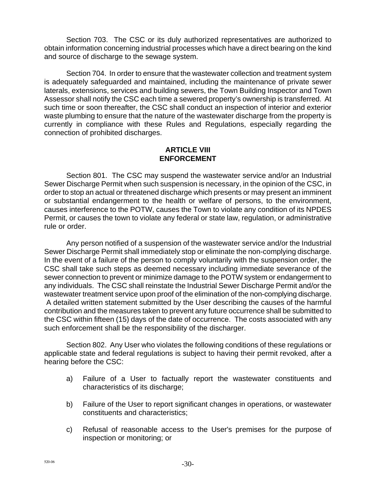Section 703. The CSC or its duly authorized representatives are authorized to obtain information concerning industrial processes which have a direct bearing on the kind and source of discharge to the sewage system.

Section 704. In order to ensure that the wastewater collection and treatment system is adequately safeguarded and maintained, including the maintenance of private sewer laterals, extensions, services and building sewers, the Town Building Inspector and Town Assessor shall notify the CSC each time a sewered property's ownership is transferred. At such time or soon thereafter, the CSC shall conduct an inspection of interior and exterior waste plumbing to ensure that the nature of the wastewater discharge from the property is currently in compliance with these Rules and Regulations, especially regarding the connection of prohibited discharges.

#### **ARTICLE VIII ENFORCEMENT**

Section 801. The CSC may suspend the wastewater service and/or an Industrial Sewer Discharge Permit when such suspension is necessary, in the opinion of the CSC, in order to stop an actual or threatened discharge which presents or may present an imminent or substantial endangerment to the health or welfare of persons, to the environment, causes interference to the POTW, causes the Town to violate any condition of its NPDES Permit, or causes the town to violate any federal or state law, regulation, or administrative rule or order.

Any person notified of a suspension of the wastewater service and/or the Industrial Sewer Discharge Permit shall immediately stop or eliminate the non-complying discharge. In the event of a failure of the person to comply voluntarily with the suspension order, the CSC shall take such steps as deemed necessary including immediate severance of the sewer connection to prevent or minimize damage to the POTW system or endangerment to any individuals. The CSC shall reinstate the Industrial Sewer Discharge Permit and/or the wastewater treatment service upon proof of the elimination of the non-complying discharge. A detailed written statement submitted by the User describing the causes of the harmful contribution and the measures taken to prevent any future occurrence shall be submitted to the CSC within fifteen (15) days of the date of occurrence. The costs associated with any such enforcement shall be the responsibility of the discharger.

Section 802. Any User who violates the following conditions of these regulations or applicable state and federal regulations is subject to having their permit revoked, after a hearing before the CSC:

- a) Failure of a User to factually report the wastewater constituents and characteristics of its discharge;
- b) Failure of the User to report significant changes in operations, or wastewater constituents and characteristics;
- c) Refusal of reasonable access to the User's premises for the purpose of inspection or monitoring; or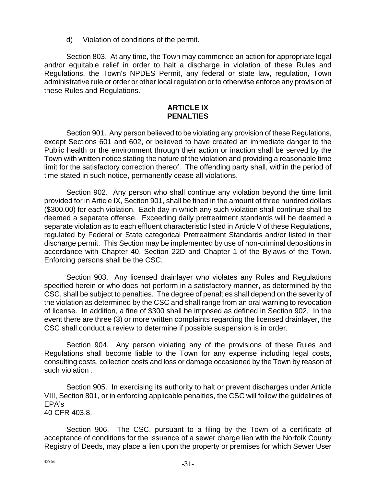d) Violation of conditions of the permit.

Section 803. At any time, the Town may commence an action for appropriate legal and/or equitable relief in order to halt a discharge in violation of these Rules and Regulations, the Town's NPDES Permit, any federal or state law, regulation, Town administrative rule or order or other local regulation or to otherwise enforce any provision of these Rules and Regulations.

#### **ARTICLE IX PENALTIES**

Section 901. Any person believed to be violating any provision of these Regulations, except Sections 601 and 602, or believed to have created an immediate danger to the Public health or the environment through their action or inaction shall be served by the Town with written notice stating the nature of the violation and providing a reasonable time limit for the satisfactory correction thereof. The offending party shall, within the period of time stated in such notice, permanently cease all violations.

Section 902. Any person who shall continue any violation beyond the time limit provided for in Article IX, Section 901, shall be fined in the amount of three hundred dollars (\$300.00) for each violation. Each day in which any such violation shall continue shall be deemed a separate offense. Exceeding daily pretreatment standards will be deemed a separate violation as to each effluent characteristic listed in Article V of these Regulations, regulated by Federal or State categorical Pretreatment Standards and/or listed in their discharge permit. This Section may be implemented by use of non-criminal depositions in accordance with Chapter 40, Section 22D and Chapter 1 of the Bylaws of the Town. Enforcing persons shall be the CSC.

Section 903. Any licensed drainlayer who violates any Rules and Regulations specified herein or who does not perform in a satisfactory manner, as determined by the CSC, shall be subject to penalties. The degree of penalties shall depend on the severity of the violation as determined by the CSC and shall range from an oral warning to revocation of license. In addition, a fine of \$300 shall be imposed as defined in Section 902. In the event there are three (3) or more written complaints regarding the licensed drainlayer, the CSC shall conduct a review to determine if possible suspension is in order.

Section 904. Any person violating any of the provisions of these Rules and Regulations shall become liable to the Town for any expense including legal costs, consulting costs, collection costs and loss or damage occasioned by the Town by reason of such violation .

Section 905. In exercising its authority to halt or prevent discharges under Article VIII, Section 801, or in enforcing applicable penalties, the CSC will follow the guidelines of EPA's 40 CFR 403.8.

Section 906. The CSC, pursuant to a filing by the Town of a certificate of acceptance of conditions for the issuance of a sewer charge lien with the Norfolk County Registry of Deeds, may place a lien upon the property or premises for which Sewer User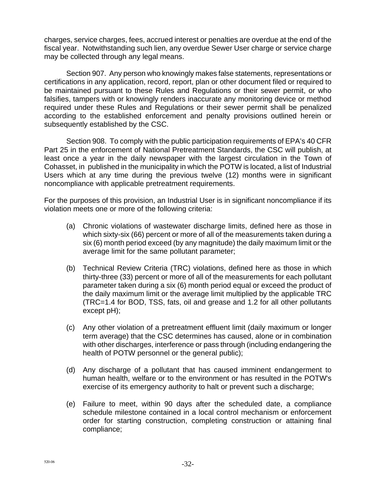charges, service charges, fees, accrued interest or penalties are overdue at the end of the fiscal year. Notwithstanding such lien, any overdue Sewer User charge or service charge may be collected through any legal means.

Section 907. Any person who knowingly makes false statements, representations or certifications in any application, record, report, plan or other document filed or required to be maintained pursuant to these Rules and Regulations or their sewer permit, or who falsifies, tampers with or knowingly renders inaccurate any monitoring device or method required under these Rules and Regulations or their sewer permit shall be penalized according to the established enforcement and penalty provisions outlined herein or subsequently established by the CSC.

Section 908. To comply with the public participation requirements of EPA's 40 CFR Part 25 in the enforcement of National Pretreatment Standards, the CSC will publish, at least once a year in the daily newspaper with the largest circulation in the Town of Cohasset, in published in the municipality in which the POTW is located, a list of Industrial Users which at any time during the previous twelve (12) months were in significant noncompliance with applicable pretreatment requirements.

For the purposes of this provision, an Industrial User is in significant noncompliance if its violation meets one or more of the following criteria:

- (a) Chronic violations of wastewater discharge limits, defined here as those in which sixty-six (66) percent or more of all of the measurements taken during a six (6) month period exceed (by any magnitude) the daily maximum limit or the average limit for the same pollutant parameter;
- (b) Technical Review Criteria (TRC) violations, defined here as those in which thirty-three (33) percent or more of all of the measurements for each pollutant parameter taken during a six (6) month period equal or exceed the product of the daily maximum limit or the average limit multiplied by the applicable TRC (TRC=1.4 for BOD, TSS, fats, oil and grease and 1.2 for all other pollutants except pH);
- (c) Any other violation of a pretreatment effluent limit (daily maximum or longer term average) that the CSC determines has caused, alone or in combination with other discharges, interference or pass through (including endangering the health of POTW personnel or the general public);
- (d) Any discharge of a pollutant that has caused imminent endangerment to human health, welfare or to the environment or has resulted in the POTW's exercise of its emergency authority to halt or prevent such a discharge;
- (e) Failure to meet, within 90 days after the scheduled date, a compliance schedule milestone contained in a local control mechanism or enforcement order for starting construction, completing construction or attaining final compliance;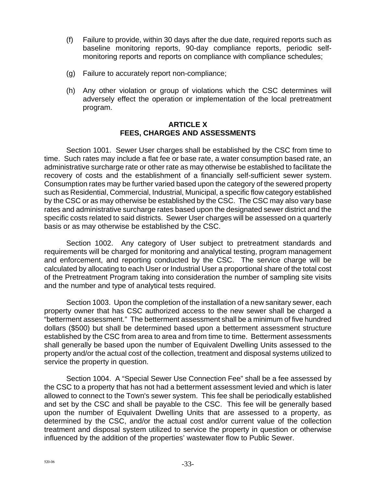- (f) Failure to provide, within 30 days after the due date, required reports such as baseline monitoring reports, 90-day compliance reports, periodic selfmonitoring reports and reports on compliance with compliance schedules;
- (g) Failure to accurately report non-compliance;
- (h) Any other violation or group of violations which the CSC determines will adversely effect the operation or implementation of the local pretreatment program.

#### **ARTICLE X FEES, CHARGES AND ASSESSMENTS**

Section 1001. Sewer User charges shall be established by the CSC from time to time. Such rates may include a flat fee or base rate, a water consumption based rate, an administrative surcharge rate or other rate as may otherwise be established to facilitate the recovery of costs and the establishment of a financially self-sufficient sewer system. Consumption rates may be further varied based upon the category of the sewered property such as Residential, Commercial, Industrial, Municipal, a specific flow category established by the CSC or as may otherwise be established by the CSC. The CSC may also vary base rates and administrative surcharge rates based upon the designated sewer district and the specific costs related to said districts. Sewer User charges will be assessed on a quarterly basis or as may otherwise be established by the CSC.

Section 1002. Any category of User subject to pretreatment standards and requirements will be charged for monitoring and analytical testing, program management and enforcement, and reporting conducted by the CSC. The service charge will be calculated by allocating to each User or Industrial User a proportional share of the total cost of the Pretreatment Program taking into consideration the number of sampling site visits and the number and type of analytical tests required.

Section 1003. Upon the completion of the installation of a new sanitary sewer, each property owner that has CSC authorized access to the new sewer shall be charged a "betterment assessment." The betterment assessment shall be a minimum of five hundred dollars (\$500) but shall be determined based upon a betterment assessment structure established by the CSC from area to area and from time to time. Betterment assessments shall generally be based upon the number of Equivalent Dwelling Units assessed to the property and/or the actual cost of the collection, treatment and disposal systems utilized to service the property in question.

Section 1004. A "Special Sewer Use Connection Fee" shall be a fee assessed by the CSC to a property that has not had a betterment assessment levied and which is later allowed to connect to the Town's sewer system. This fee shall be periodically established and set by the CSC and shall be payable to the CSC. This fee will be generally based upon the number of Equivalent Dwelling Units that are assessed to a property, as determined by the CSC, and/or the actual cost and/or current value of the collection treatment and disposal system utilized to service the property in question or otherwise influenced by the addition of the properties' wastewater flow to Public Sewer.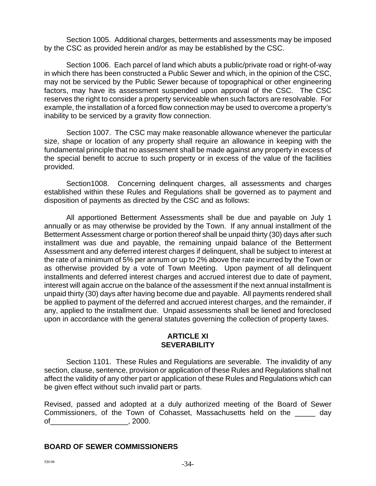Section 1005. Additional charges, betterments and assessments may be imposed by the CSC as provided herein and/or as may be established by the CSC.

Section 1006. Each parcel of land which abuts a public/private road or right-of-way in which there has been constructed a Public Sewer and which, in the opinion of the CSC, may not be serviced by the Public Sewer because of topographical or other engineering factors, may have its assessment suspended upon approval of the CSC. The CSC reserves the right to consider a property serviceable when such factors are resolvable. For example, the installation of a forced flow connection may be used to overcome a property's inability to be serviced by a gravity flow connection.

Section 1007. The CSC may make reasonable allowance whenever the particular size, shape or location of any property shall require an allowance in keeping with the fundamental principle that no assessment shall be made against any property in excess of the special benefit to accrue to such property or in excess of the value of the facilities provided.

Section1008. Concerning delinquent charges, all assessments and charges established within these Rules and Regulations shall be governed as to payment and disposition of payments as directed by the CSC and as follows:

All apportioned Betterment Assessments shall be due and payable on July 1 annually or as may otherwise be provided by the Town. If any annual installment of the Betterment Assessment charge or portion thereof shall be unpaid thirty (30) days after such installment was due and payable, the remaining unpaid balance of the Betterment Assessment and any deferred interest charges if delinquent, shall be subject to interest at the rate of a minimum of 5% per annum or up to 2% above the rate incurred by the Town or as otherwise provided by a vote of Town Meeting. Upon payment of all delinquent installments and deferred interest charges and accrued interest due to date of payment, interest will again accrue on the balance of the assessment if the next annual installment is unpaid thirty (30) days after having become due and payable. All payments rendered shall be applied to payment of the deferred and accrued interest charges, and the remainder, if any, applied to the installment due. Unpaid assessments shall be liened and foreclosed upon in accordance with the general statutes governing the collection of property taxes.

#### **ARTICLE XI SEVERABILITY**

Section 1101. These Rules and Regulations are severable. The invalidity of any section, clause, sentence, provision or application of these Rules and Regulations shall not affect the validity of any other part or application of these Rules and Regulations which can be given effect without such invalid part or parts.

Revised, passed and adopted at a duly authorized meeting of the Board of Sewer Commissioners, of the Town of Cohasset, Massachusetts held on the \_\_\_\_\_ day of 2000.

#### **BOARD OF SEWER COMMISSIONERS**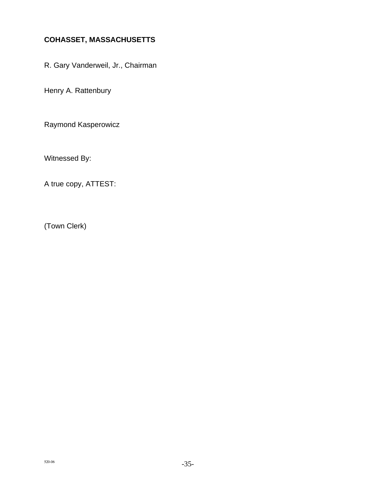# **COHASSET, MASSACHUSETTS**

R. Gary Vanderweil, Jr., Chairman

Henry A. Rattenbury

Raymond Kasperowicz

Witnessed By:

A true copy, ATTEST:

(Town Clerk)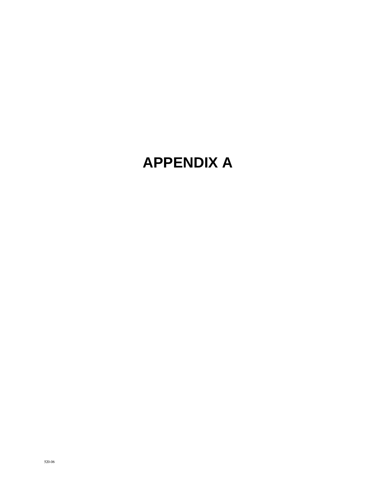# **APPENDIX A**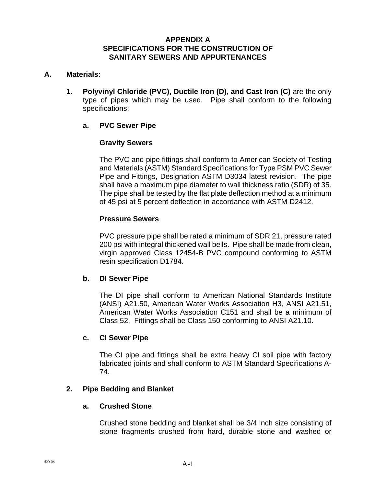#### **APPENDIX A SPECIFICATIONS FOR THE CONSTRUCTION OF SANITARY SEWERS AND APPURTENANCES**

#### **A. Materials:**

**1. Polyvinyl Chloride (PVC), Ductile Iron (D), and Cast Iron (C)** are the only type of pipes which may be used. Pipe shall conform to the following specifications:

#### **a. PVC Sewer Pipe**

#### **Gravity Sewers**

The PVC and pipe fittings shall conform to American Society of Testing and Materials (ASTM) Standard Specifications for Type PSM PVC Sewer Pipe and Fittings, Designation ASTM D3034 latest revision. The pipe shall have a maximum pipe diameter to wall thickness ratio (SDR) of 35. The pipe shall be tested by the flat plate deflection method at a minimum of 45 psi at 5 percent deflection in accordance with ASTM D2412.

#### **Pressure Sewers**

PVC pressure pipe shall be rated a minimum of SDR 21, pressure rated 200 psi with integral thickened wall bells. Pipe shall be made from clean, virgin approved Class 12454-B PVC compound conforming to ASTM resin specification D1784.

#### **b. DI Sewer Pipe**

The DI pipe shall conform to American National Standards Institute (ANSI) A21.50, American Water Works Association H3, ANSI A21.51, American Water Works Association C151 and shall be a minimum of Class 52. Fittings shall be Class 150 conforming to ANSI A21.10.

#### **c. CI Sewer Pipe**

The CI pipe and fittings shall be extra heavy CI soil pipe with factory fabricated joints and shall conform to ASTM Standard Specifications A-74.

#### **2. Pipe Bedding and Blanket**

#### **a. Crushed Stone**

Crushed stone bedding and blanket shall be 3/4 inch size consisting of stone fragments crushed from hard, durable stone and washed or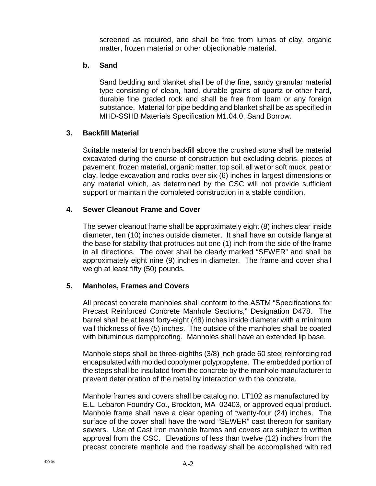screened as required, and shall be free from lumps of clay, organic matter, frozen material or other objectionable material.

#### **b. Sand**

Sand bedding and blanket shall be of the fine, sandy granular material type consisting of clean, hard, durable grains of quartz or other hard, durable fine graded rock and shall be free from loam or any foreign substance. Material for pipe bedding and blanket shall be as specified in MHD-SSHB Materials Specification M1.04.0, Sand Borrow.

#### **3. Backfill Material**

Suitable material for trench backfill above the crushed stone shall be material excavated during the course of construction but excluding debris, pieces of pavement, frozen material, organic matter, top soil, all wet or soft muck, peat or clay, ledge excavation and rocks over six (6) inches in largest dimensions or any material which, as determined by the CSC will not provide sufficient support or maintain the completed construction in a stable condition.

#### **4. Sewer Cleanout Frame and Cover**

The sewer cleanout frame shall be approximately eight (8) inches clear inside diameter, ten (10) inches outside diameter. It shall have an outside flange at the base for stability that protrudes out one (1) inch from the side of the frame in all directions. The cover shall be clearly marked "SEWER" and shall be approximately eight nine (9) inches in diameter. The frame and cover shall weigh at least fifty (50) pounds.

#### **5. Manholes, Frames and Covers**

All precast concrete manholes shall conform to the ASTM "Specifications for Precast Reinforced Concrete Manhole Sections," Designation D478. The barrel shall be at least forty-eight (48) inches inside diameter with a minimum wall thickness of five (5) inches. The outside of the manholes shall be coated with bituminous dampproofing. Manholes shall have an extended lip base.

Manhole steps shall be three-eighths (3/8) inch grade 60 steel reinforcing rod encapsulated with molded copolymer polypropylene. The embedded portion of the steps shall be insulated from the concrete by the manhole manufacturer to prevent deterioration of the metal by interaction with the concrete.

Manhole frames and covers shall be catalog no. LT102 as manufactured by E.L. Lebaron Foundry Co., Brockton, MA 02403, or approved equal product. Manhole frame shall have a clear opening of twenty-four (24) inches. The surface of the cover shall have the word "SEWER" cast thereon for sanitary sewers. Use of Cast Iron manhole frames and covers are subject to written approval from the CSC. Elevations of less than twelve (12) inches from the precast concrete manhole and the roadway shall be accomplished with red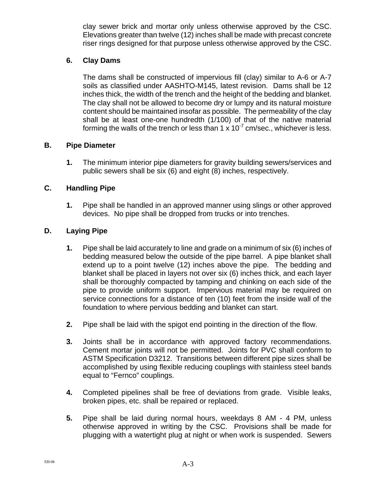clay sewer brick and mortar only unless otherwise approved by the CSC. Elevations greater than twelve (12) inches shall be made with precast concrete riser rings designed for that purpose unless otherwise approved by the CSC.

# **6. Clay Dams**

The dams shall be constructed of impervious fill (clay) similar to A-6 or A-7 soils as classified under AASHTO-M145, latest revision. Dams shall be 12 inches thick, the width of the trench and the height of the bedding and blanket. The clay shall not be allowed to become dry or lumpy and its natural moisture content should be maintained insofar as possible. The permeability of the clay shall be at least one-one hundredth (1/100) of that of the native material forming the walls of the trench or less than 1  $\times$  10<sup>-7</sup> cm/sec., whichever is less.

#### **B. Pipe Diameter**

**1.** The minimum interior pipe diameters for gravity building sewers/services and public sewers shall be six (6) and eight (8) inches, respectively.

## **C. Handling Pipe**

**1.** Pipe shall be handled in an approved manner using slings or other approved devices. No pipe shall be dropped from trucks or into trenches.

## **D. Laying Pipe**

- **1.** Pipe shall be laid accurately to line and grade on a minimum of six (6) inches of bedding measured below the outside of the pipe barrel. A pipe blanket shall extend up to a point twelve (12) inches above the pipe. The bedding and blanket shall be placed in layers not over six (6) inches thick, and each layer shall be thoroughly compacted by tamping and chinking on each side of the pipe to provide uniform support. Impervious material may be required on service connections for a distance of ten (10) feet from the inside wall of the foundation to where pervious bedding and blanket can start.
- **2.** Pipe shall be laid with the spigot end pointing in the direction of the flow.
- **3.** Joints shall be in accordance with approved factory recommendations. Cement mortar joints will not be permitted. Joints for PVC shall conform to ASTM Specification D3212. Transitions between different pipe sizes shall be accomplished by using flexible reducing couplings with stainless steel bands equal to "Fernco" couplings.
- **4.** Completed pipelines shall be free of deviations from grade. Visible leaks, broken pipes, etc. shall be repaired or replaced.
- **5.** Pipe shall be laid during normal hours, weekdays 8 AM 4 PM, unless otherwise approved in writing by the CSC. Provisions shall be made for plugging with a watertight plug at night or when work is suspended. Sewers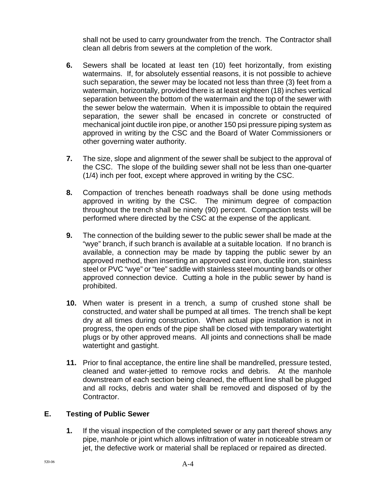shall not be used to carry groundwater from the trench. The Contractor shall clean all debris from sewers at the completion of the work.

- **6.** Sewers shall be located at least ten (10) feet horizontally, from existing watermains. If, for absolutely essential reasons, it is not possible to achieve such separation, the sewer may be located not less than three (3) feet from a watermain, horizontally, provided there is at least eighteen (18) inches vertical separation between the bottom of the watermain and the top of the sewer with the sewer below the watermain. When it is impossible to obtain the required separation, the sewer shall be encased in concrete or constructed of mechanical joint ductile iron pipe, or another 150 psi pressure piping system as approved in writing by the CSC and the Board of Water Commissioners or other governing water authority.
- **7.** The size, slope and alignment of the sewer shall be subject to the approval of the CSC. The slope of the building sewer shall not be less than one-quarter (1/4) inch per foot, except where approved in writing by the CSC.
- **8.** Compaction of trenches beneath roadways shall be done using methods approved in writing by the CSC. The minimum degree of compaction throughout the trench shall be ninety (90) percent. Compaction tests will be performed where directed by the CSC at the expense of the applicant.
- **9.** The connection of the building sewer to the public sewer shall be made at the "wye" branch, if such branch is available at a suitable location. If no branch is available, a connection may be made by tapping the public sewer by an approved method, then inserting an approved cast iron, ductile iron, stainless steel or PVC "wye" or "tee" saddle with stainless steel mounting bands or other approved connection device. Cutting a hole in the public sewer by hand is prohibited.
- **10.** When water is present in a trench, a sump of crushed stone shall be constructed, and water shall be pumped at all times. The trench shall be kept dry at all times during construction. When actual pipe installation is not in progress, the open ends of the pipe shall be closed with temporary watertight plugs or by other approved means. All joints and connections shall be made watertight and gastight.
- **11.** Prior to final acceptance, the entire line shall be mandrelled, pressure tested, cleaned and water-jetted to remove rocks and debris. At the manhole downstream of each section being cleaned, the effluent line shall be plugged and all rocks, debris and water shall be removed and disposed of by the Contractor.

# **E. Testing of Public Sewer**

**1.** If the visual inspection of the completed sewer or any part thereof shows any pipe, manhole or joint which allows infiltration of water in noticeable stream or jet, the defective work or material shall be replaced or repaired as directed.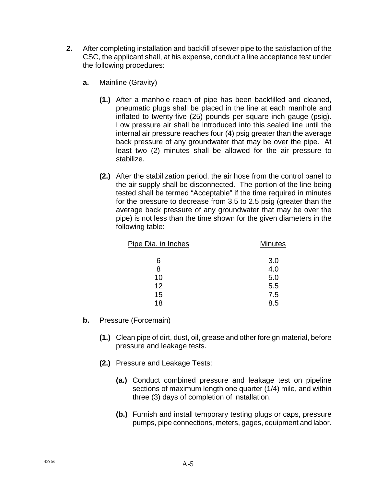- **2.** After completing installation and backfill of sewer pipe to the satisfaction of the CSC, the applicant shall, at his expense, conduct a line acceptance test under the following procedures:
	- **a.** Mainline (Gravity)
		- **(1.)** After a manhole reach of pipe has been backfilled and cleaned, pneumatic plugs shall be placed in the line at each manhole and inflated to twenty-five (25) pounds per square inch gauge (psig). Low pressure air shall be introduced into this sealed line until the internal air pressure reaches four (4) psig greater than the average back pressure of any groundwater that may be over the pipe. At least two (2) minutes shall be allowed for the air pressure to stabilize.
		- **(2.)** After the stabilization period, the air hose from the control panel to the air supply shall be disconnected. The portion of the line being tested shall be termed "Acceptable" if the time required in minutes for the pressure to decrease from 3.5 to 2.5 psig (greater than the average back pressure of any groundwater that may be over the pipe) is not less than the time shown for the given diameters in the following table:

| Pipe Dia. in Inches | <b>Minutes</b> |
|---------------------|----------------|
| 6                   | 3.0            |
| 8                   | 4.0            |
| 10                  | 5.0            |
| 12                  | 5.5            |
| 15                  | 7.5            |
| 18                  | 8.5            |

- **b.** Pressure (Forcemain)
	- **(1.)** Clean pipe of dirt, dust, oil, grease and other foreign material, before pressure and leakage tests.
	- **(2.)** Pressure and Leakage Tests:
		- **(a.)** Conduct combined pressure and leakage test on pipeline sections of maximum length one quarter (1/4) mile, and within three (3) days of completion of installation.
		- **(b.)** Furnish and install temporary testing plugs or caps, pressure pumps, pipe connections, meters, gages, equipment and labor.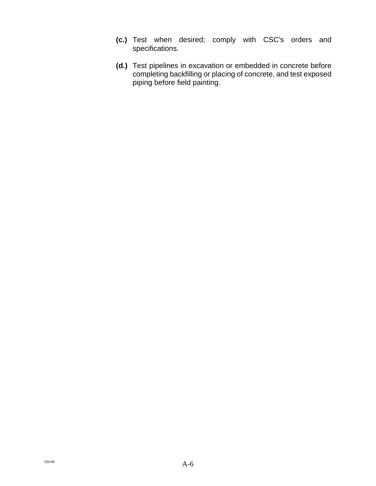- **(c.)** Test when desired; comply with CSC's orders and specifications.
- **(d.)** Test pipelines in excavation or embedded in concrete before completing backfilling or placing of concrete, and test exposed piping before field painting.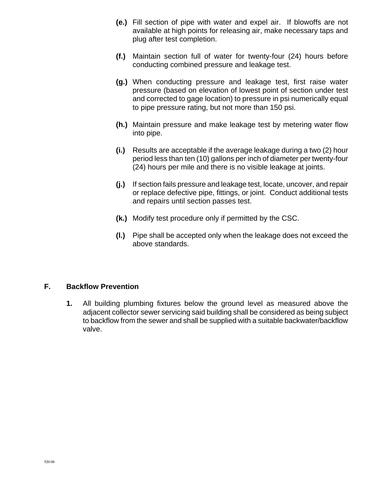- **(e.)** Fill section of pipe with water and expel air. If blowoffs are not available at high points for releasing air, make necessary taps and plug after test completion.
- **(f.)** Maintain section full of water for twenty-four (24) hours before conducting combined pressure and leakage test.
- **(g.)** When conducting pressure and leakage test, first raise water pressure (based on elevation of lowest point of section under test and corrected to gage location) to pressure in psi numerically equal to pipe pressure rating, but not more than 150 psi.
- **(h.)** Maintain pressure and make leakage test by metering water flow into pipe.
- **(i.)** Results are acceptable if the average leakage during a two (2) hour period less than ten (10) gallons per inch of diameter per twenty-four (24) hours per mile and there is no visible leakage at joints.
- **(j.)** If section fails pressure and leakage test, locate, uncover, and repair or replace defective pipe, fittings, or joint. Conduct additional tests and repairs until section passes test.
- **(k.)** Modify test procedure only if permitted by the CSC.
- **(l.)** Pipe shall be accepted only when the leakage does not exceed the above standards.

#### **F. Backflow Prevention**

**1.** All building plumbing fixtures below the ground level as measured above the adjacent collector sewer servicing said building shall be considered as being subject to backflow from the sewer and shall be supplied with a suitable backwater/backflow valve.